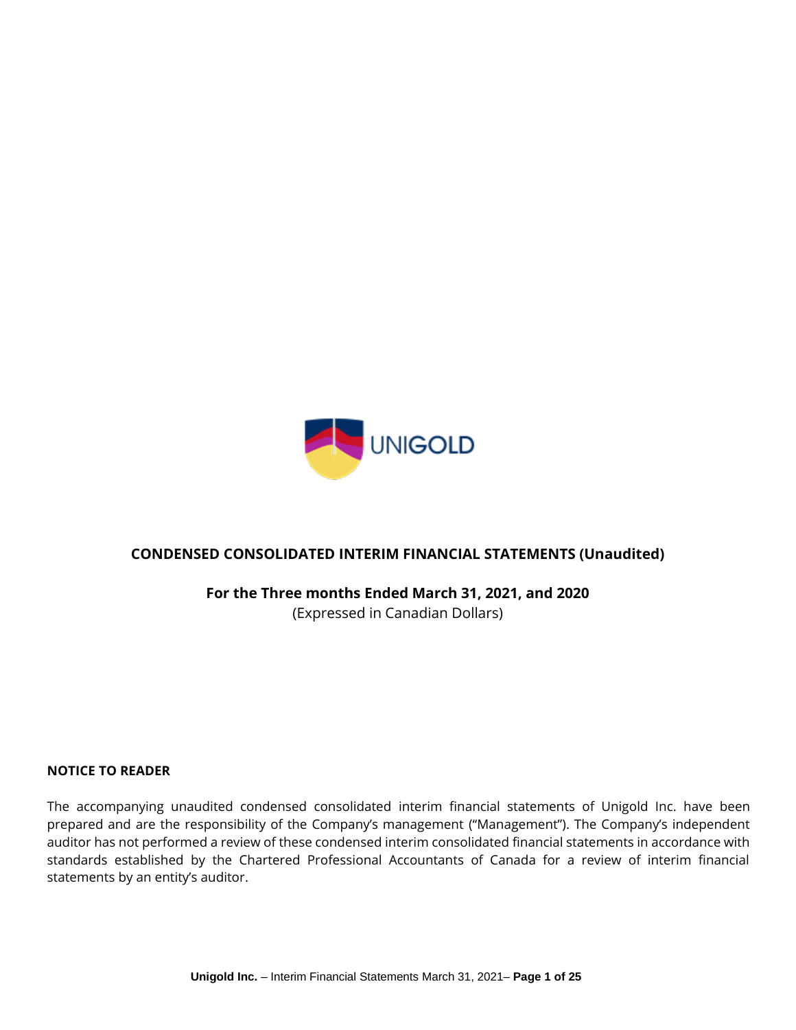

# **CONDENSED CONSOLIDATED INTERIM FINANCIAL STATEMENTS (Unaudited)**

**For the Three months Ended March 31, 2021, and 2020**

(Expressed in Canadian Dollars)

### **NOTICE TO READER**

The accompanying unaudited condensed consolidated interim financial statements of Unigold Inc. have been prepared and are the responsibility of the Company's management ("Management"). The Company's independent auditor has not performed a review of these condensed interim consolidated financial statements in accordance with standards established by the Chartered Professional Accountants of Canada for a review of interim financial statements by an entity's auditor.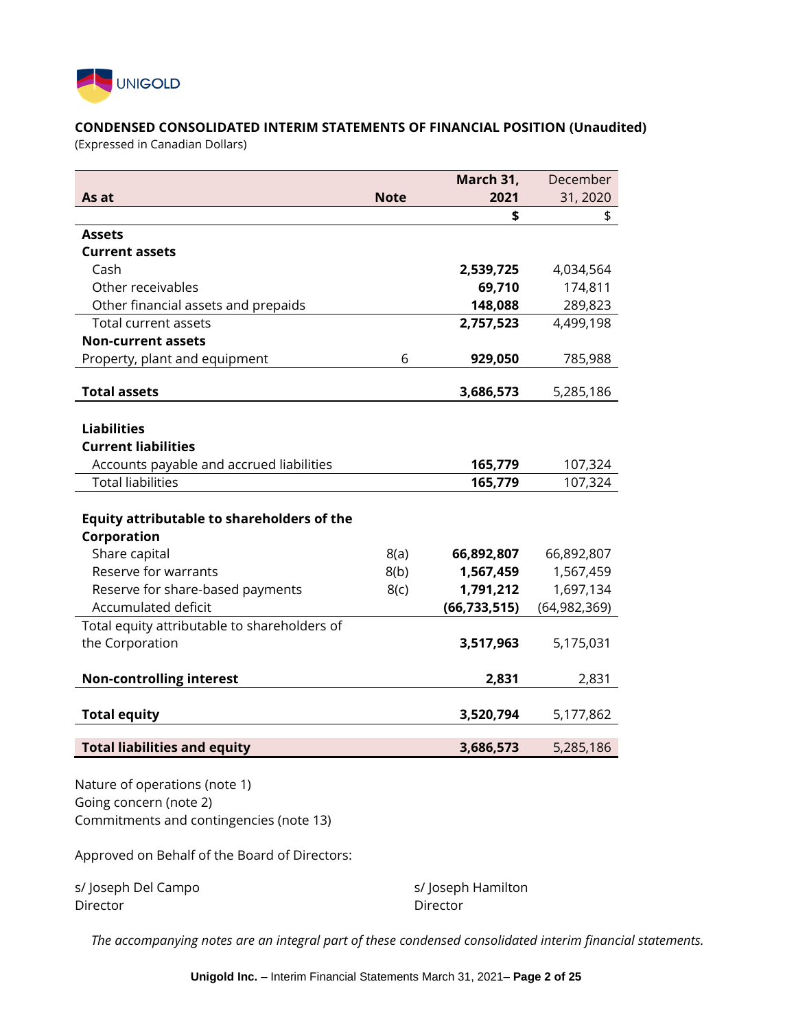

### **CONDENSED CONSOLIDATED INTERIM STATEMENTS OF FINANCIAL POSITION (Unaudited)**

(Expressed in Canadian Dollars)

|                                              |             | March 31,      | December       |
|----------------------------------------------|-------------|----------------|----------------|
| As at                                        | <b>Note</b> | 2021           | 31, 2020       |
|                                              |             | \$             | \$             |
| <b>Assets</b>                                |             |                |                |
| <b>Current assets</b>                        |             |                |                |
| Cash                                         |             | 2,539,725      | 4,034,564      |
| Other receivables                            |             | 69,710         | 174,811        |
| Other financial assets and prepaids          |             | 148,088        | 289,823        |
| Total current assets                         |             | 2,757,523      | 4,499,198      |
| <b>Non-current assets</b>                    |             |                |                |
| Property, plant and equipment                | 6           | 929,050        | 785,988        |
| <b>Total assets</b>                          |             | 3,686,573      | 5,285,186      |
|                                              |             |                |                |
| <b>Liabilities</b>                           |             |                |                |
| <b>Current liabilities</b>                   |             |                |                |
| Accounts payable and accrued liabilities     |             | 165,779        | 107,324        |
| <b>Total liabilities</b>                     |             | 165,779        | 107,324        |
|                                              |             |                |                |
| Equity attributable to shareholders of the   |             |                |                |
| Corporation                                  |             |                |                |
| Share capital                                | 8(a)        | 66,892,807     | 66,892,807     |
| Reserve for warrants                         | 8(b)        | 1,567,459      | 1,567,459      |
| Reserve for share-based payments             | 8(c)        | 1,791,212      | 1,697,134      |
| <b>Accumulated deficit</b>                   |             | (66, 733, 515) | (64, 982, 369) |
| Total equity attributable to shareholders of |             |                |                |
| the Corporation                              |             | 3,517,963      | 5,175,031      |
| <b>Non-controlling interest</b>              |             | 2,831          | 2,831          |
|                                              |             |                |                |
| <b>Total equity</b>                          |             | 3,520,794      | 5,177,862      |
| <b>Total liabilities and equity</b>          |             | 3,686,573      | 5,285,186      |
|                                              |             |                |                |

Nature of operations (note 1) Going concern (note 2) Commitments and contingencies (note 13)

Approved on Behalf of the Board of Directors:

s/ Joseph Del Campo s/ Joseph Hamilton Director Director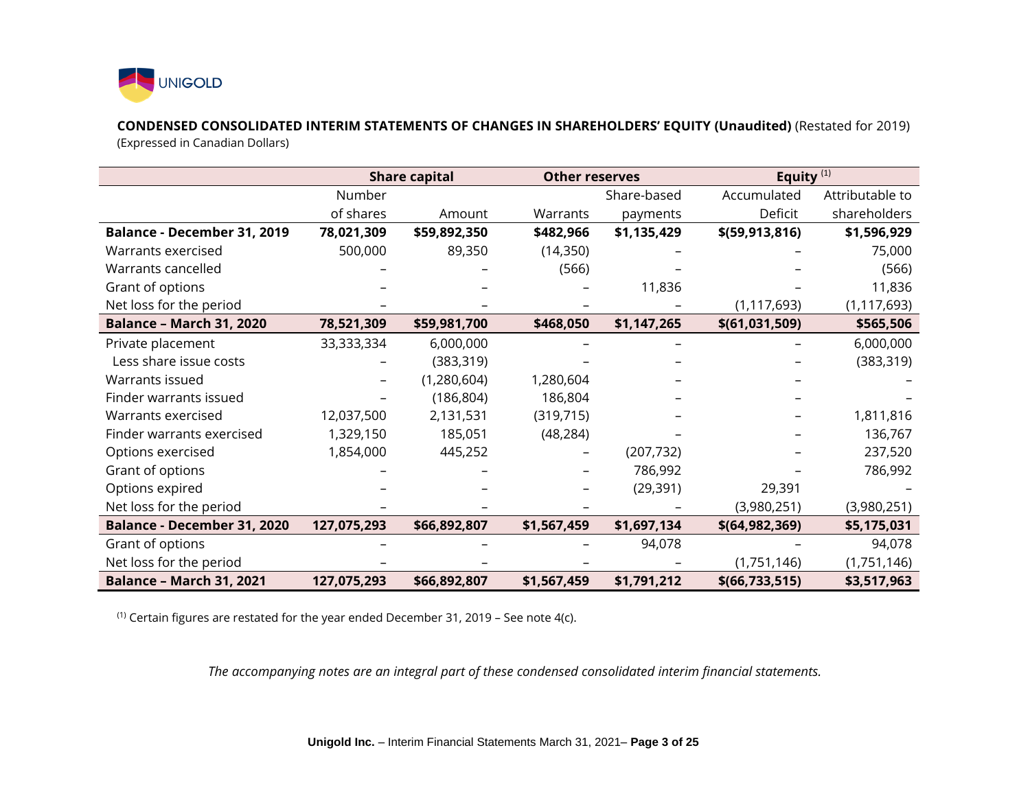

**CONDENSED CONSOLIDATED INTERIM STATEMENTS OF CHANGES IN SHAREHOLDERS' EQUITY (Unaudited)** (Restated for 2019)

(Expressed in Canadian Dollars)

|                                 |             | <b>Share capital</b> | <b>Other reserves</b> |             | Equity <sup>(1)</sup> |                 |
|---------------------------------|-------------|----------------------|-----------------------|-------------|-----------------------|-----------------|
|                                 | Number      |                      |                       | Share-based | Accumulated           | Attributable to |
|                                 | of shares   | Amount               | Warrants              | payments    | Deficit               | shareholders    |
| Balance - December 31, 2019     | 78,021,309  | \$59,892,350         | \$482,966             | \$1,135,429 | \$(59, 913, 816)      | \$1,596,929     |
| Warrants exercised              | 500,000     | 89,350               | (14, 350)             |             |                       | 75,000          |
| Warrants cancelled              |             |                      | (566)                 |             |                       | (566)           |
| Grant of options                |             |                      |                       | 11,836      |                       | 11,836          |
| Net loss for the period         |             |                      |                       |             | (1, 117, 693)         | (1, 117, 693)   |
| <b>Balance - March 31, 2020</b> | 78,521,309  | \$59,981,700         | \$468,050             | \$1,147,265 | \$(61,031,509)        | \$565,506       |
| Private placement               | 33,333,334  | 6,000,000            |                       |             |                       | 6,000,000       |
| Less share issue costs          |             | (383, 319)           |                       |             |                       | (383, 319)      |
| Warrants issued                 |             | (1,280,604)          | 1,280,604             |             |                       |                 |
| Finder warrants issued          |             | (186, 804)           | 186,804               |             |                       |                 |
| Warrants exercised              | 12,037,500  | 2,131,531            | (319, 715)            |             |                       | 1,811,816       |
| Finder warrants exercised       | 1,329,150   | 185,051              | (48, 284)             |             |                       | 136,767         |
| Options exercised               | 1,854,000   | 445,252              | -                     | (207, 732)  |                       | 237,520         |
| Grant of options                |             |                      |                       | 786,992     |                       | 786,992         |
| Options expired                 |             |                      |                       | (29, 391)   | 29,391                |                 |
| Net loss for the period         |             |                      |                       |             | (3,980,251)           | (3,980,251)     |
| Balance - December 31, 2020     | 127,075,293 | \$66,892,807         | \$1,567,459           | \$1,697,134 | \$(64, 982, 369)      | \$5,175,031     |
| Grant of options                |             |                      |                       | 94,078      |                       | 94,078          |
| Net loss for the period         |             |                      |                       |             | (1,751,146)           | (1,751,146)     |
| <b>Balance - March 31, 2021</b> | 127,075,293 | \$66,892,807         | \$1,567,459           | \$1,791,212 | \$(66, 733, 515)      | \$3,517,963     |

(1) Certain figures are restated for the year ended December 31, 2019 – See note 4(c).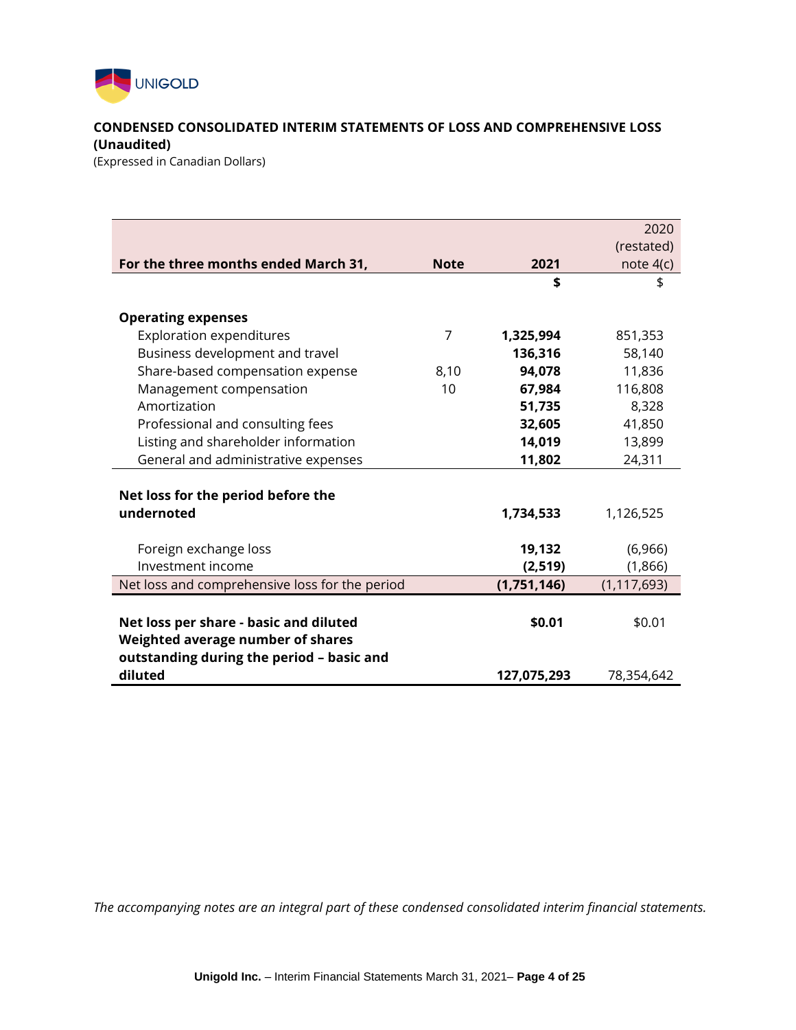

## **CONDENSED CONSOLIDATED INTERIM STATEMENTS OF LOSS AND COMPREHENSIVE LOSS (Unaudited)**

(Expressed in Canadian Dollars)

|                                                |             |             | 2020          |
|------------------------------------------------|-------------|-------------|---------------|
|                                                |             |             | (restated)    |
| For the three months ended March 31,           | <b>Note</b> | 2021        | note $4(c)$   |
|                                                |             | \$          | \$            |
| <b>Operating expenses</b>                      |             |             |               |
| <b>Exploration expenditures</b>                | 7           | 1,325,994   | 851,353       |
| Business development and travel                |             | 136,316     | 58,140        |
| Share-based compensation expense               | 8,10        | 94,078      | 11,836        |
| Management compensation                        | 10          | 67,984      | 116,808       |
| Amortization                                   |             | 51,735      | 8,328         |
| Professional and consulting fees               |             | 32,605      | 41,850        |
| Listing and shareholder information            |             | 14,019      | 13,899        |
| General and administrative expenses            |             | 11,802      | 24,311        |
|                                                |             |             |               |
| Net loss for the period before the             |             |             |               |
| undernoted                                     |             | 1,734,533   | 1,126,525     |
|                                                |             |             |               |
| Foreign exchange loss                          |             | 19,132      | (6,966)       |
| Investment income                              |             | (2, 519)    | (1,866)       |
| Net loss and comprehensive loss for the period |             | (1,751,146) | (1, 117, 693) |
|                                                |             |             |               |
| Net loss per share - basic and diluted         |             | \$0.01      | \$0.01        |
| Weighted average number of shares              |             |             |               |
| outstanding during the period - basic and      |             |             |               |
| diluted                                        |             | 127,075,293 | 78,354,642    |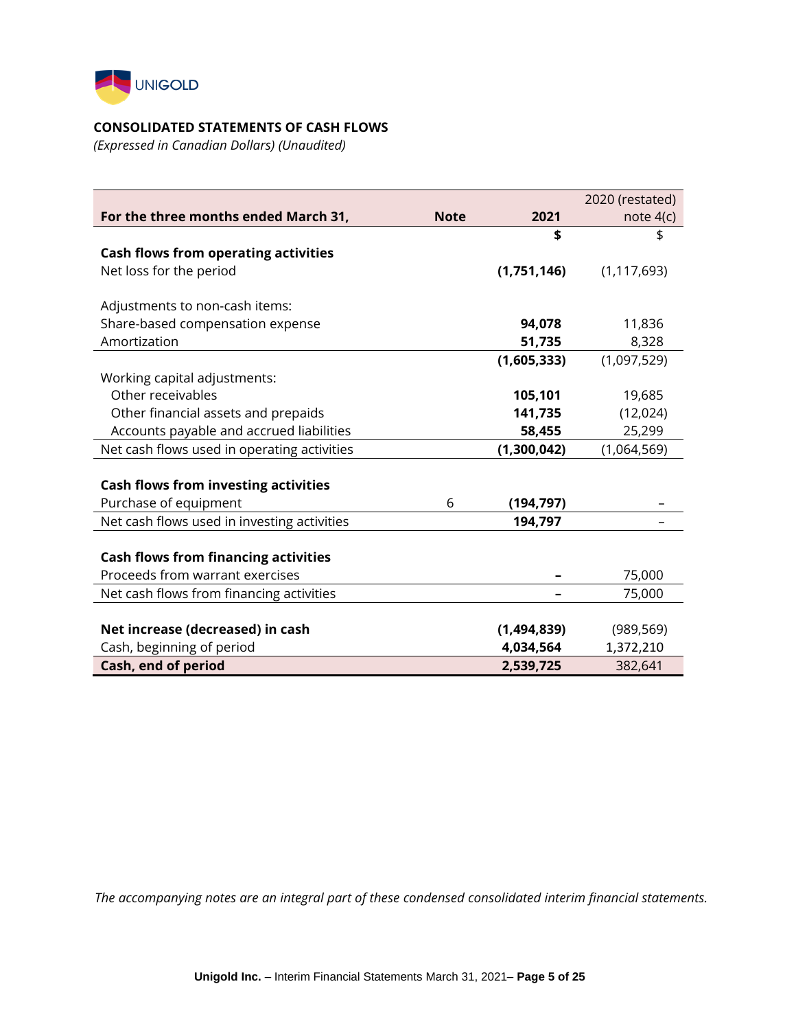

### **CONSOLIDATED STATEMENTS OF CASH FLOWS**

*(Expressed in Canadian Dollars) (Unaudited)*

|                                             |             |             | 2020 (restated) |
|---------------------------------------------|-------------|-------------|-----------------|
| For the three months ended March 31,        | <b>Note</b> | 2021        | note $4(c)$     |
|                                             |             | \$          | \$              |
| <b>Cash flows from operating activities</b> |             |             |                 |
| Net loss for the period                     |             | (1,751,146) | (1, 117, 693)   |
|                                             |             |             |                 |
| Adjustments to non-cash items:              |             |             |                 |
| Share-based compensation expense            |             | 94,078      | 11,836          |
| Amortization                                |             | 51,735      | 8,328           |
|                                             |             | (1,605,333) | (1,097,529)     |
| Working capital adjustments:                |             |             |                 |
| Other receivables                           |             | 105,101     | 19,685          |
| Other financial assets and prepaids         |             | 141,735     | (12,024)        |
| Accounts payable and accrued liabilities    |             | 58,455      | 25,299          |
| Net cash flows used in operating activities |             | (1,300,042) | (1,064,569)     |
|                                             |             |             |                 |
| <b>Cash flows from investing activities</b> |             |             |                 |
| Purchase of equipment                       | 6           | (194, 797)  |                 |
| Net cash flows used in investing activities |             | 194,797     |                 |
|                                             |             |             |                 |
| <b>Cash flows from financing activities</b> |             |             |                 |
| Proceeds from warrant exercises             |             |             | 75,000          |
| Net cash flows from financing activities    |             |             | 75,000          |
|                                             |             |             |                 |
| Net increase (decreased) in cash            |             | (1,494,839) | (989, 569)      |
| Cash, beginning of period                   |             | 4,034,564   | 1,372,210       |
| Cash, end of period                         |             | 2,539,725   | 382,641         |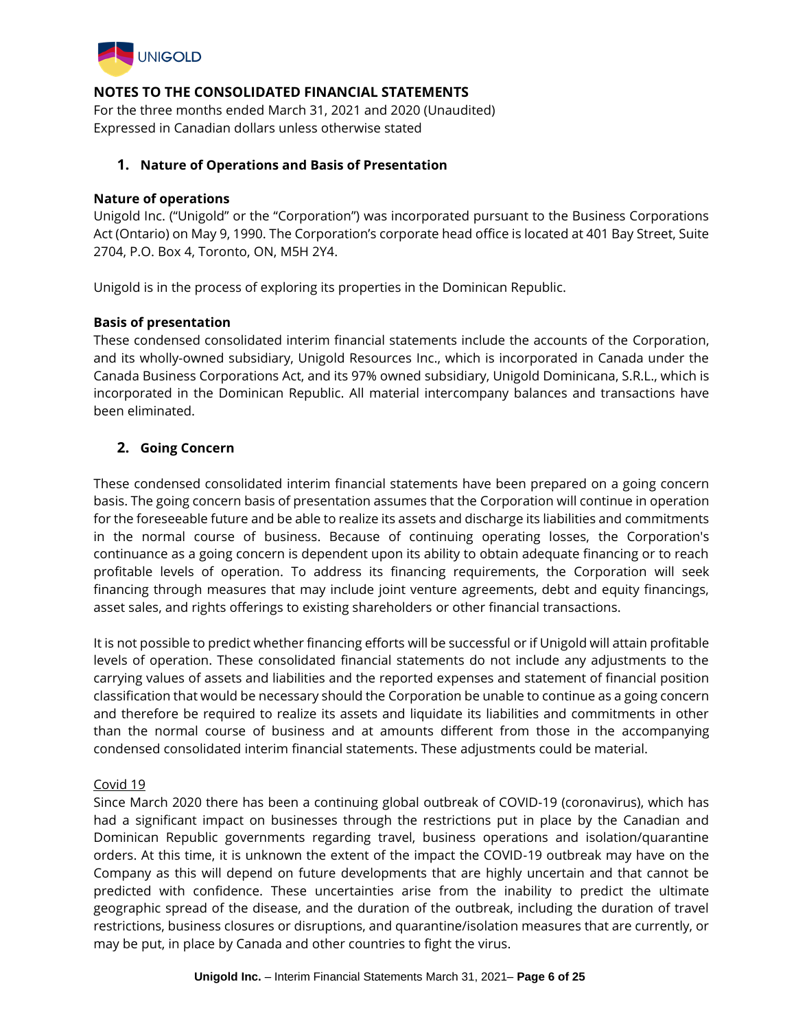

For the three months ended March 31, 2021 and 2020 (Unaudited) Expressed in Canadian dollars unless otherwise stated

### **1. Nature of Operations and Basis of Presentation**

#### **Nature of operations**

Unigold Inc. ("Unigold" or the "Corporation") was incorporated pursuant to the Business Corporations Act (Ontario) on May 9, 1990. The Corporation's corporate head office is located at 401 Bay Street, Suite 2704, P.O. Box 4, Toronto, ON, M5H 2Y4.

Unigold is in the process of exploring its properties in the Dominican Republic.

### **Basis of presentation**

These condensed consolidated interim financial statements include the accounts of the Corporation, and its wholly-owned subsidiary, Unigold Resources Inc., which is incorporated in Canada under the Canada Business Corporations Act, and its 97% owned subsidiary, Unigold Dominicana, S.R.L., which is incorporated in the Dominican Republic. All material intercompany balances and transactions have been eliminated.

## **2. Going Concern**

These condensed consolidated interim financial statements have been prepared on a going concern basis. The going concern basis of presentation assumes that the Corporation will continue in operation for the foreseeable future and be able to realize its assets and discharge its liabilities and commitments in the normal course of business. Because of continuing operating losses, the Corporation's continuance as a going concern is dependent upon its ability to obtain adequate financing or to reach profitable levels of operation. To address its financing requirements, the Corporation will seek financing through measures that may include joint venture agreements, debt and equity financings, asset sales, and rights offerings to existing shareholders or other financial transactions.

It is not possible to predict whether financing efforts will be successful or if Unigold will attain profitable levels of operation. These consolidated financial statements do not include any adjustments to the carrying values of assets and liabilities and the reported expenses and statement of financial position classification that would be necessary should the Corporation be unable to continue as a going concern and therefore be required to realize its assets and liquidate its liabilities and commitments in other than the normal course of business and at amounts different from those in the accompanying condensed consolidated interim financial statements. These adjustments could be material.

### Covid 19

Since March 2020 there has been a continuing global outbreak of COVID-19 (coronavirus), which has had a significant impact on businesses through the restrictions put in place by the Canadian and Dominican Republic governments regarding travel, business operations and isolation/quarantine orders. At this time, it is unknown the extent of the impact the COVID-19 outbreak may have on the Company as this will depend on future developments that are highly uncertain and that cannot be predicted with confidence. These uncertainties arise from the inability to predict the ultimate geographic spread of the disease, and the duration of the outbreak, including the duration of travel restrictions, business closures or disruptions, and quarantine/isolation measures that are currently, or may be put, in place by Canada and other countries to fight the virus.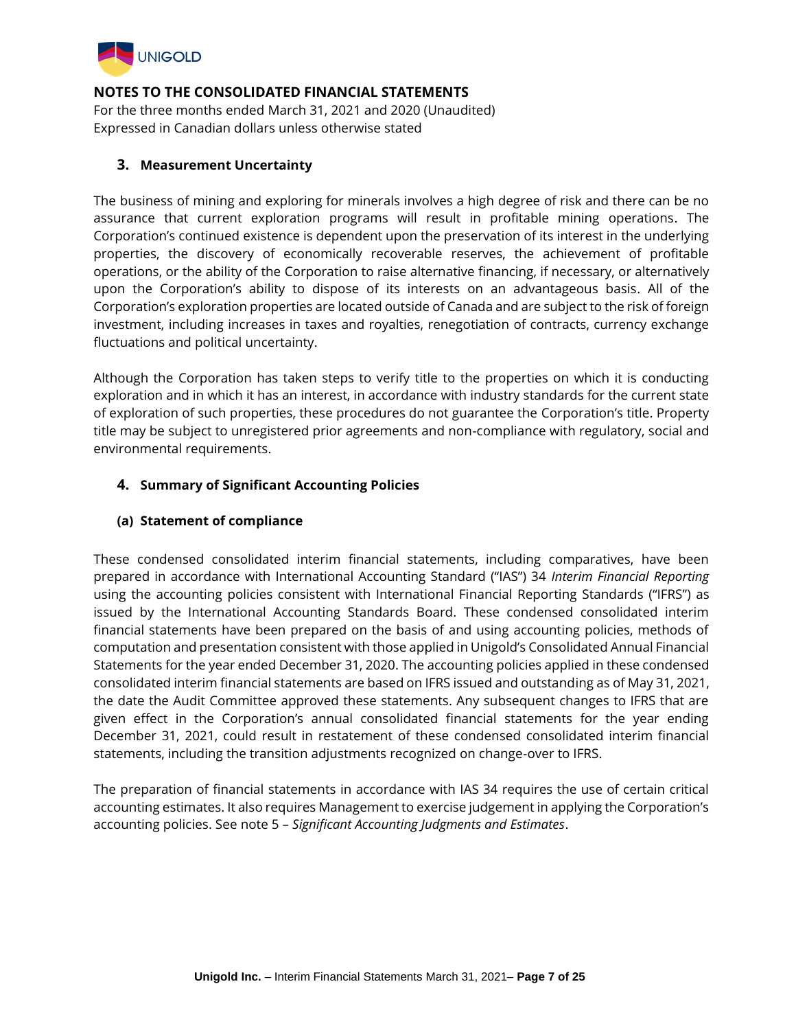

For the three months ended March 31, 2021 and 2020 (Unaudited) Expressed in Canadian dollars unless otherwise stated

### **3. Measurement Uncertainty**

The business of mining and exploring for minerals involves a high degree of risk and there can be no assurance that current exploration programs will result in profitable mining operations. The Corporation's continued existence is dependent upon the preservation of its interest in the underlying properties, the discovery of economically recoverable reserves, the achievement of profitable operations, or the ability of the Corporation to raise alternative financing, if necessary, or alternatively upon the Corporation's ability to dispose of its interests on an advantageous basis. All of the Corporation's exploration properties are located outside of Canada and are subject to the risk of foreign investment, including increases in taxes and royalties, renegotiation of contracts, currency exchange fluctuations and political uncertainty.

Although the Corporation has taken steps to verify title to the properties on which it is conducting exploration and in which it has an interest, in accordance with industry standards for the current state of exploration of such properties, these procedures do not guarantee the Corporation's title. Property title may be subject to unregistered prior agreements and non-compliance with regulatory, social and environmental requirements.

## **4. Summary of Significant Accounting Policies**

### **(a) Statement of compliance**

These condensed consolidated interim financial statements, including comparatives, have been prepared in accordance with International Accounting Standard ("IAS") 34 *Interim Financial Reporting* using the accounting policies consistent with International Financial Reporting Standards ("IFRS") as issued by the International Accounting Standards Board. These condensed consolidated interim financial statements have been prepared on the basis of and using accounting policies, methods of computation and presentation consistent with those applied in Unigold's Consolidated Annual Financial Statements for the year ended December 31, 2020. The accounting policies applied in these condensed consolidated interim financial statements are based on IFRS issued and outstanding as of May 31, 2021, the date the Audit Committee approved these statements. Any subsequent changes to IFRS that are given effect in the Corporation's annual consolidated financial statements for the year ending December 31, 2021, could result in restatement of these condensed consolidated interim financial statements, including the transition adjustments recognized on change-over to IFRS.

The preparation of financial statements in accordance with IAS 34 requires the use of certain critical accounting estimates. It also requires Management to exercise judgement in applying the Corporation's accounting policies. See note 5 – *Significant Accounting Judgments and Estimates*.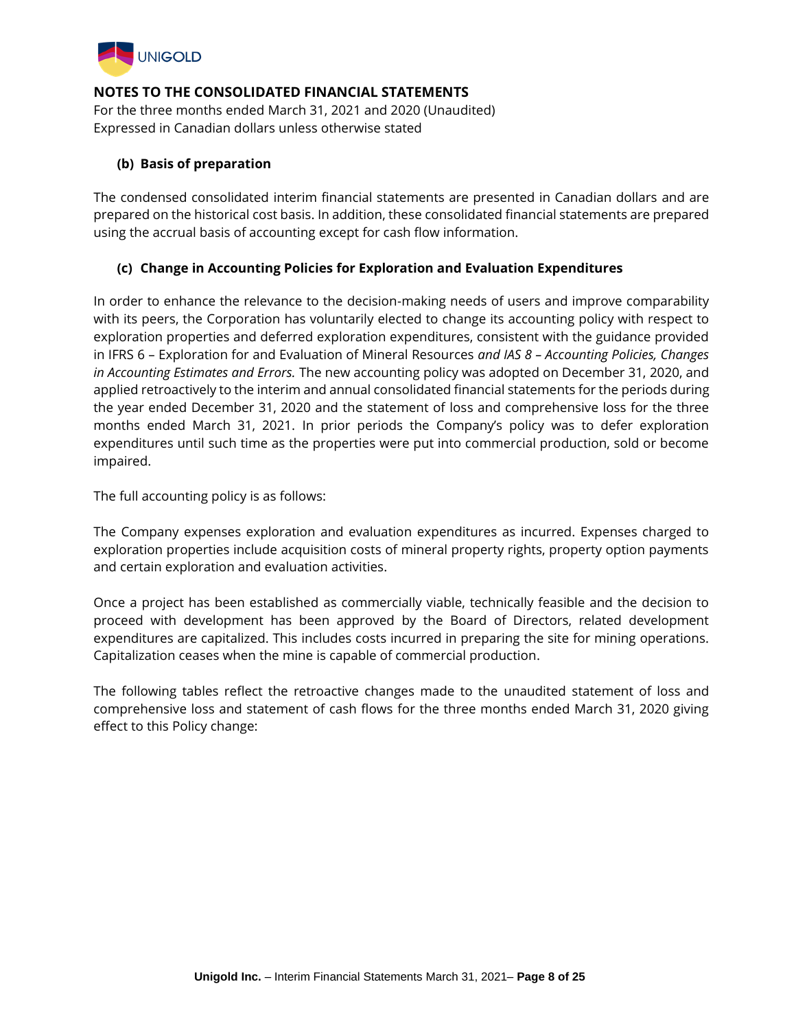

For the three months ended March 31, 2021 and 2020 (Unaudited) Expressed in Canadian dollars unless otherwise stated

## **(b) Basis of preparation**

The condensed consolidated interim financial statements are presented in Canadian dollars and are prepared on the historical cost basis. In addition, these consolidated financial statements are prepared using the accrual basis of accounting except for cash flow information.

## **(c) Change in Accounting Policies for Exploration and Evaluation Expenditures**

In order to enhance the relevance to the decision-making needs of users and improve comparability with its peers, the Corporation has voluntarily elected to change its accounting policy with respect to exploration properties and deferred exploration expenditures, consistent with the guidance provided in IFRS 6 – Exploration for and Evaluation of Mineral Resources *and IAS 8 – Accounting Policies, Changes in Accounting Estimates and Errors.* The new accounting policy was adopted on December 31, 2020, and applied retroactively to the interim and annual consolidated financial statements for the periods during the year ended December 31, 2020 and the statement of loss and comprehensive loss for the three months ended March 31, 2021. In prior periods the Company's policy was to defer exploration expenditures until such time as the properties were put into commercial production, sold or become impaired.

The full accounting policy is as follows:

The Company expenses exploration and evaluation expenditures as incurred. Expenses charged to exploration properties include acquisition costs of mineral property rights, property option payments and certain exploration and evaluation activities.

Once a project has been established as commercially viable, technically feasible and the decision to proceed with development has been approved by the Board of Directors, related development expenditures are capitalized. This includes costs incurred in preparing the site for mining operations. Capitalization ceases when the mine is capable of commercial production.

The following tables reflect the retroactive changes made to the unaudited statement of loss and comprehensive loss and statement of cash flows for the three months ended March 31, 2020 giving effect to this Policy change: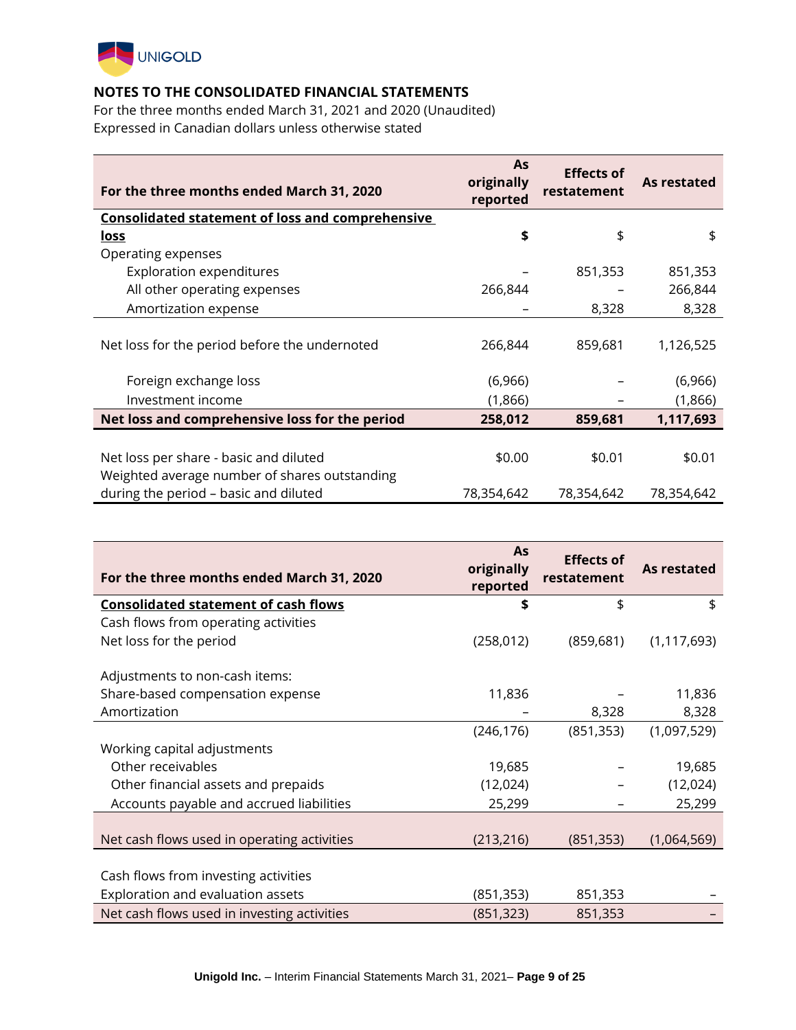

For the three months ended March 31, 2021 and 2020 (Unaudited) Expressed in Canadian dollars unless otherwise stated

| For the three months ended March 31, 2020               | As<br>originally<br>reported | <b>Effects of</b><br>restatement | As restated |
|---------------------------------------------------------|------------------------------|----------------------------------|-------------|
| <b>Consolidated statement of loss and comprehensive</b> |                              |                                  |             |
| <u>loss</u>                                             | \$                           | \$                               | \$          |
| Operating expenses                                      |                              |                                  |             |
| <b>Exploration expenditures</b>                         |                              | 851,353                          | 851,353     |
| All other operating expenses                            | 266,844                      |                                  | 266,844     |
| Amortization expense                                    |                              | 8,328                            | 8,328       |
| Net loss for the period before the undernoted           | 266,844                      | 859,681                          | 1,126,525   |
| Foreign exchange loss                                   | (6,966)                      |                                  | (6,966)     |
| Investment income                                       | (1,866)                      |                                  | (1,866)     |
| Net loss and comprehensive loss for the period          | 258,012                      | 859,681                          | 1,117,693   |
|                                                         |                              |                                  |             |
| Net loss per share - basic and diluted                  | \$0.00                       | \$0.01                           | \$0.01      |
| Weighted average number of shares outstanding           |                              |                                  |             |
| during the period - basic and diluted                   | 78,354,642                   | 78,354,642                       | 78,354,642  |

| For the three months ended March 31, 2020   | <b>As</b><br>originally<br>reported | <b>Effects of</b><br>restatement | As restated   |
|---------------------------------------------|-------------------------------------|----------------------------------|---------------|
| <b>Consolidated statement of cash flows</b> | \$                                  | \$                               | \$            |
| Cash flows from operating activities        |                                     |                                  |               |
| Net loss for the period                     | (258, 012)                          | (859, 681)                       | (1, 117, 693) |
| Adjustments to non-cash items:              |                                     |                                  |               |
| Share-based compensation expense            | 11,836                              |                                  | 11,836        |
| Amortization                                |                                     | 8,328                            | 8,328         |
|                                             | (246, 176)                          | (851, 353)                       | (1,097,529)   |
| Working capital adjustments                 |                                     |                                  |               |
| Other receivables                           | 19,685                              |                                  | 19,685        |
| Other financial assets and prepaids         | (12, 024)                           |                                  | (12, 024)     |
| Accounts payable and accrued liabilities    | 25,299                              |                                  | 25,299        |
|                                             |                                     |                                  |               |
| Net cash flows used in operating activities | (213, 216)                          | (851, 353)                       | (1,064,569)   |
| Cash flows from investing activities        |                                     |                                  |               |
| Exploration and evaluation assets           | (851, 353)                          | 851,353                          |               |
| Net cash flows used in investing activities | (851, 323)                          | 851,353                          |               |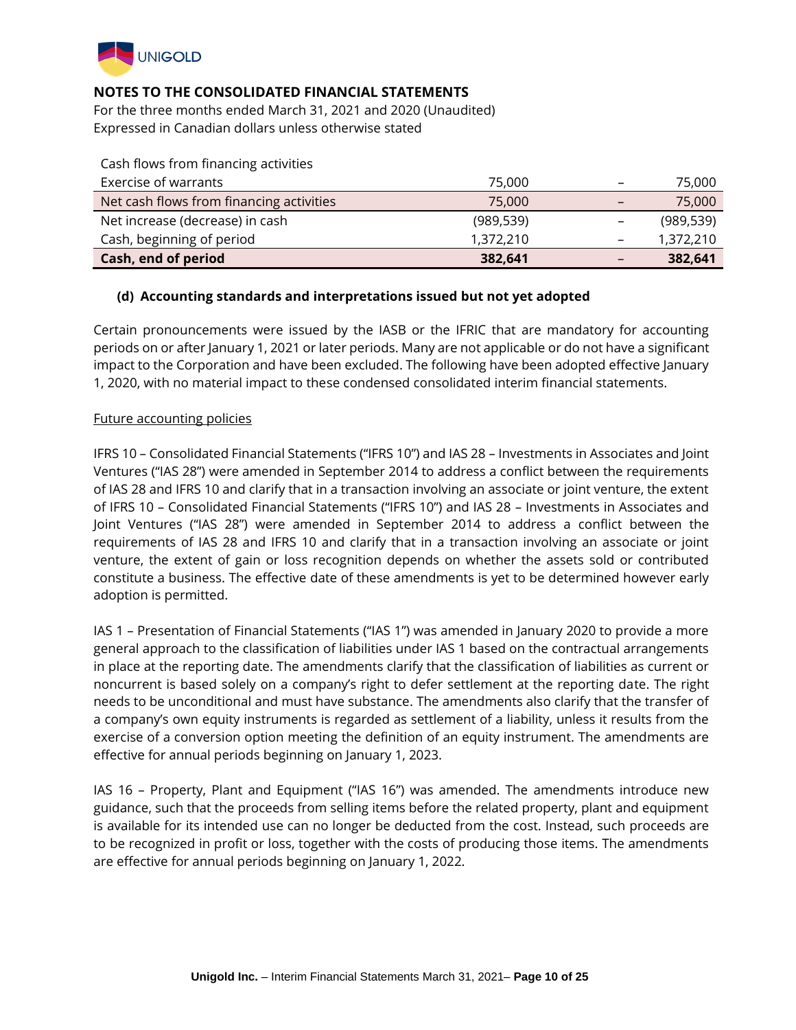

For the three months ended March 31, 2021 and 2020 (Unaudited) Expressed in Canadian dollars unless otherwise stated

| Cash flows from financing activities     |            |                              |            |
|------------------------------------------|------------|------------------------------|------------|
| Exercise of warrants                     | 75,000     | $\overline{\phantom{m}}$     | 75,000     |
| Net cash flows from financing activities | 75,000     | $\qquad \qquad \blacksquare$ | 75,000     |
| Net increase (decrease) in cash          | (989, 539) | $\overline{\phantom{0}}$     | (989, 539) |
| Cash, beginning of period                | 1,372,210  | $\overline{\phantom{0}}$     | 1,372,210  |
| Cash, end of period                      | 382,641    | -                            | 382,641    |

### **(d) Accounting standards and interpretations issued but not yet adopted**

Certain pronouncements were issued by the IASB or the IFRIC that are mandatory for accounting periods on or after January 1, 2021 or later periods. Many are not applicable or do not have a significant impact to the Corporation and have been excluded. The following have been adopted effective January 1, 2020, with no material impact to these condensed consolidated interim financial statements.

### Future accounting policies

IFRS 10 – Consolidated Financial Statements ("IFRS 10") and IAS 28 – Investments in Associates and Joint Ventures ("IAS 28") were amended in September 2014 to address a conflict between the requirements of IAS 28 and IFRS 10 and clarify that in a transaction involving an associate or joint venture, the extent of IFRS 10 – Consolidated Financial Statements ("IFRS 10") and IAS 28 – Investments in Associates and Joint Ventures ("IAS 28") were amended in September 2014 to address a conflict between the requirements of IAS 28 and IFRS 10 and clarify that in a transaction involving an associate or joint venture, the extent of gain or loss recognition depends on whether the assets sold or contributed constitute a business. The effective date of these amendments is yet to be determined however early adoption is permitted.

IAS 1 – Presentation of Financial Statements ("IAS 1") was amended in January 2020 to provide a more general approach to the classification of liabilities under IAS 1 based on the contractual arrangements in place at the reporting date. The amendments clarify that the classification of liabilities as current or noncurrent is based solely on a company's right to defer settlement at the reporting date. The right needs to be unconditional and must have substance. The amendments also clarify that the transfer of a company's own equity instruments is regarded as settlement of a liability, unless it results from the exercise of a conversion option meeting the definition of an equity instrument. The amendments are effective for annual periods beginning on January 1, 2023.

IAS 16 – Property, Plant and Equipment ("IAS 16") was amended. The amendments introduce new guidance, such that the proceeds from selling items before the related property, plant and equipment is available for its intended use can no longer be deducted from the cost. Instead, such proceeds are to be recognized in profit or loss, together with the costs of producing those items. The amendments are effective for annual periods beginning on January 1, 2022.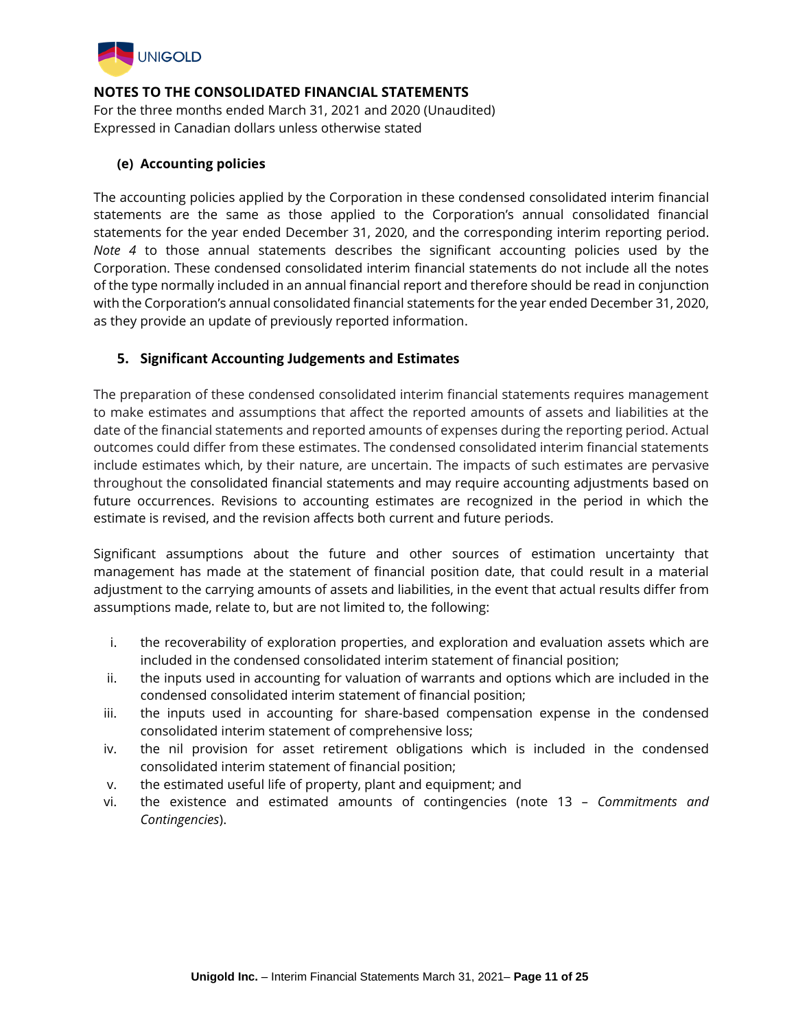

For the three months ended March 31, 2021 and 2020 (Unaudited) Expressed in Canadian dollars unless otherwise stated

## **(e) Accounting policies**

The accounting policies applied by the Corporation in these condensed consolidated interim financial statements are the same as those applied to the Corporation's annual consolidated financial statements for the year ended December 31, 2020, and the corresponding interim reporting period. *Note 4* to those annual statements describes the significant accounting policies used by the Corporation. These condensed consolidated interim financial statements do not include all the notes of the type normally included in an annual financial report and therefore should be read in conjunction with the Corporation's annual consolidated financial statements for the year ended December 31, 2020, as they provide an update of previously reported information.

## **5. Significant Accounting Judgements and Estimates**

The preparation of these condensed consolidated interim financial statements requires management to make estimates and assumptions that affect the reported amounts of assets and liabilities at the date of the financial statements and reported amounts of expenses during the reporting period. Actual outcomes could differ from these estimates. The condensed consolidated interim financial statements include estimates which, by their nature, are uncertain. The impacts of such estimates are pervasive throughout the consolidated financial statements and may require accounting adjustments based on future occurrences. Revisions to accounting estimates are recognized in the period in which the estimate is revised, and the revision affects both current and future periods.

Significant assumptions about the future and other sources of estimation uncertainty that management has made at the statement of financial position date, that could result in a material adjustment to the carrying amounts of assets and liabilities, in the event that actual results differ from assumptions made, relate to, but are not limited to, the following:

- i. the recoverability of exploration properties, and exploration and evaluation assets which are included in the condensed consolidated interim statement of financial position;
- ii. the inputs used in accounting for valuation of warrants and options which are included in the condensed consolidated interim statement of financial position;
- iii. the inputs used in accounting for share-based compensation expense in the condensed consolidated interim statement of comprehensive loss;
- iv. the nil provision for asset retirement obligations which is included in the condensed consolidated interim statement of financial position;
- v. the estimated useful life of property, plant and equipment; and
- vi. the existence and estimated amounts of contingencies (note 13 *Commitments and Contingencies*).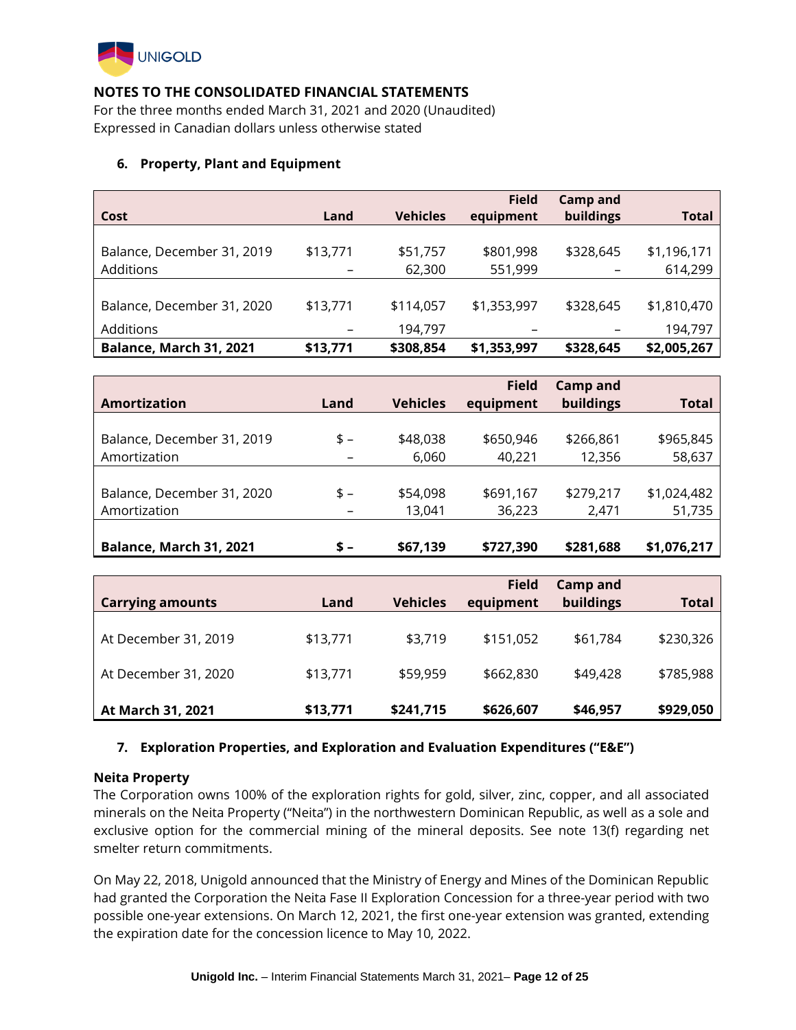

For the three months ended March 31, 2021 and 2020 (Unaudited) Expressed in Canadian dollars unless otherwise stated

### **6. Property, Plant and Equipment**

| Cost                                        | Land                                 | <b>Vehicles</b>      | <b>Field</b><br>equipment | Camp and<br>buildings | Total                  |
|---------------------------------------------|--------------------------------------|----------------------|---------------------------|-----------------------|------------------------|
| Balance, December 31, 2019<br>Additions     | \$13,771<br>$\overline{\phantom{m}}$ | \$51,757<br>62,300   | \$801,998<br>551,999      | \$328,645<br>-        | \$1,196,171<br>614,299 |
| Balance, December 31, 2020                  | \$13,771                             | \$114,057            | \$1,353,997               | \$328,645             | \$1,810,470            |
| Additions<br><b>Balance, March 31, 2021</b> | $\qquad \qquad$<br>\$13,771          | 194,797<br>\$308,854 | \$1,353,997               | \$328,645             | 194,797<br>\$2,005,267 |

|                            |       |                 | <b>Field</b> | <b>Camp and</b> |              |
|----------------------------|-------|-----------------|--------------|-----------------|--------------|
| Amortization               | Land  | <b>Vehicles</b> | equipment    | buildings       | <b>Total</b> |
|                            |       |                 |              |                 |              |
| Balance, December 31, 2019 | \$-   | \$48,038        | \$650,946    | \$266,861       | \$965,845    |
| Amortization               |       | 6,060           | 40,221       | 12,356          | 58,637       |
|                            |       |                 |              |                 |              |
| Balance, December 31, 2020 | \$-   | \$54,098        | \$691,167    | \$279,217       | \$1,024,482  |
| Amortization               |       | 13,041          | 36,223       | 2,471           | 51,735       |
|                            |       |                 |              |                 |              |
| Balance, March 31, 2021    | $s -$ | \$67,139        | \$727,390    | \$281,688       | \$1,076,217  |

|                         |          |                 | <b>Field</b> | <b>Camp and</b> |              |
|-------------------------|----------|-----------------|--------------|-----------------|--------------|
| <b>Carrying amounts</b> | Land     | <b>Vehicles</b> | equipment    | buildings       | <b>Total</b> |
| At December 31, 2019    | \$13,771 | \$3,719         | \$151,052    | \$61,784        | \$230,326    |
| At December 31, 2020    | \$13,771 | \$59,959        | \$662,830    | \$49,428        | \$785,988    |
| At March 31, 2021       | \$13,771 | \$241,715       | \$626,607    | \$46,957        | \$929,050    |

## **7. Exploration Properties, and Exploration and Evaluation Expenditures ("E&E")**

### **Neita Property**

The Corporation owns 100% of the exploration rights for gold, silver, zinc, copper, and all associated minerals on the Neita Property ("Neita") in the northwestern Dominican Republic, as well as a sole and exclusive option for the commercial mining of the mineral deposits. See note 13(f) regarding net smelter return commitments.

On May 22, 2018, Unigold announced that the Ministry of Energy and Mines of the Dominican Republic had granted the Corporation the Neita Fase II Exploration Concession for a three-year period with two possible one-year extensions. On March 12, 2021, the first one-year extension was granted, extending the expiration date for the concession licence to May 10, 2022.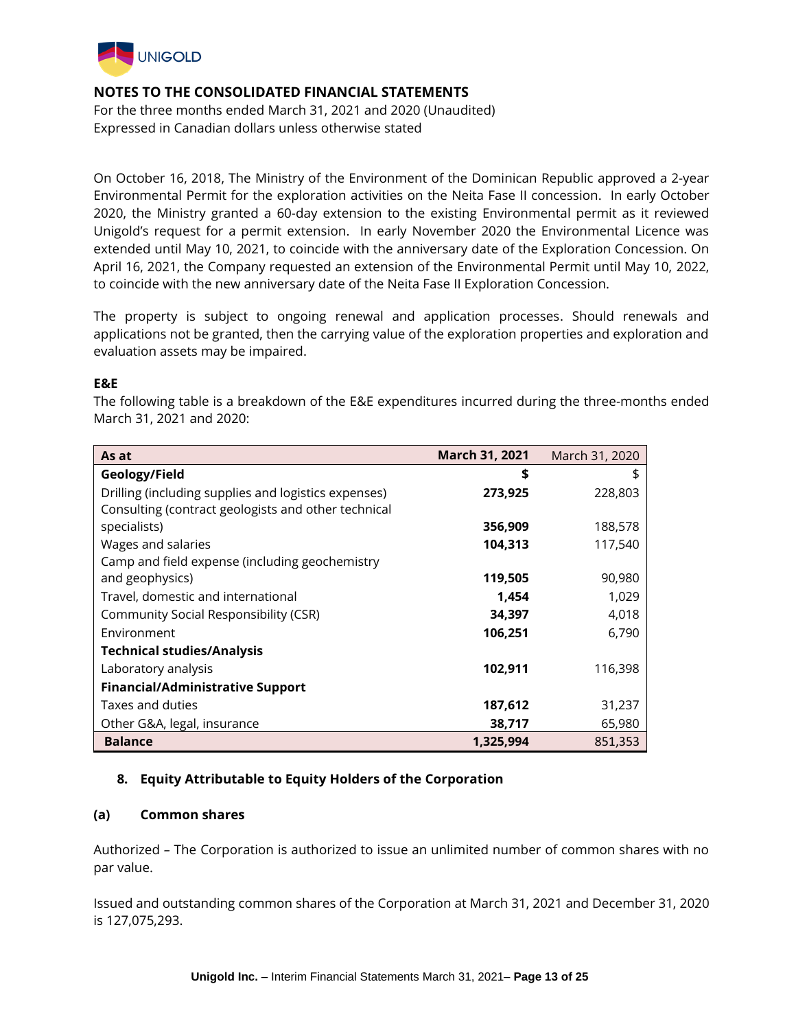

For the three months ended March 31, 2021 and 2020 (Unaudited) Expressed in Canadian dollars unless otherwise stated

On October 16, 2018, The Ministry of the Environment of the Dominican Republic approved a 2-year Environmental Permit for the exploration activities on the Neita Fase II concession. In early October 2020, the Ministry granted a 60-day extension to the existing Environmental permit as it reviewed Unigold's request for a permit extension. In early November 2020 the Environmental Licence was extended until May 10, 2021, to coincide with the anniversary date of the Exploration Concession. On April 16, 2021, the Company requested an extension of the Environmental Permit until May 10, 2022, to coincide with the new anniversary date of the Neita Fase II Exploration Concession.

The property is subject to ongoing renewal and application processes. Should renewals and applications not be granted, then the carrying value of the exploration properties and exploration and evaluation assets may be impaired.

### **E&E**

The following table is a breakdown of the E&E expenditures incurred during the three-months ended March 31, 2021 and 2020:

| As at                                                | <b>March 31, 2021</b> | March 31, 2020 |
|------------------------------------------------------|-----------------------|----------------|
| Geology/Field                                        | \$                    |                |
| Drilling (including supplies and logistics expenses) | 273,925               | 228,803        |
| Consulting (contract geologists and other technical  |                       |                |
| specialists)                                         | 356,909               | 188,578        |
| Wages and salaries                                   | 104,313               | 117,540        |
| Camp and field expense (including geochemistry       |                       |                |
| and geophysics)                                      | 119,505               | 90,980         |
| Travel, domestic and international                   | 1,454                 | 1,029          |
| Community Social Responsibility (CSR)                | 34,397                | 4,018          |
| Environment                                          | 106,251               | 6,790          |
| <b>Technical studies/Analysis</b>                    |                       |                |
| Laboratory analysis                                  | 102,911               | 116,398        |
| <b>Financial/Administrative Support</b>              |                       |                |
| Taxes and duties                                     | 187,612               | 31,237         |
| Other G&A, legal, insurance                          | 38,717                | 65,980         |
| <b>Balance</b>                                       | 1,325,994             | 851,353        |

## **8. Equity Attributable to Equity Holders of the Corporation**

### **(a) Common shares**

Authorized *–* The Corporation is authorized to issue an unlimited number of common shares with no par value.

Issued and outstanding common shares of the Corporation at March 31, 2021 and December 31, 2020 is 127,075,293.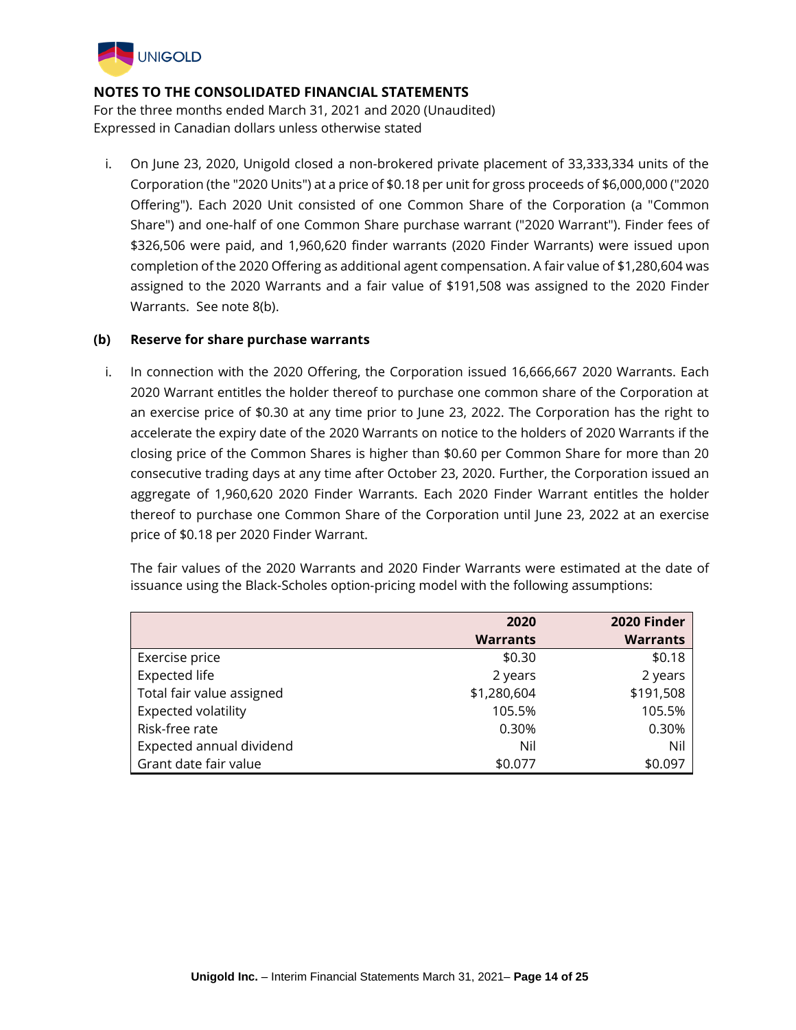

For the three months ended March 31, 2021 and 2020 (Unaudited) Expressed in Canadian dollars unless otherwise stated

i. On June 23, 2020, Unigold closed a non-brokered private placement of 33,333,334 units of the Corporation (the "2020 Units") at a price of \$0.18 per unit for gross proceeds of \$6,000,000 ("2020 Offering"). Each 2020 Unit consisted of one Common Share of the Corporation (a "Common Share") and one-half of one Common Share purchase warrant ("2020 Warrant"). Finder fees of \$326,506 were paid, and 1,960,620 finder warrants (2020 Finder Warrants) were issued upon completion of the 2020 Offering as additional agent compensation. A fair value of \$1,280,604 was assigned to the 2020 Warrants and a fair value of \$191,508 was assigned to the 2020 Finder Warrants. See note 8(b).

### **(b) Reserve for share purchase warrants**

i. In connection with the 2020 Offering, the Corporation issued 16,666,667 2020 Warrants. Each 2020 Warrant entitles the holder thereof to purchase one common share of the Corporation at an exercise price of \$0.30 at any time prior to June 23, 2022. The Corporation has the right to accelerate the expiry date of the 2020 Warrants on notice to the holders of 2020 Warrants if the closing price of the Common Shares is higher than \$0.60 per Common Share for more than 20 consecutive trading days at any time after October 23, 2020. Further, the Corporation issued an aggregate of 1,960,620 2020 Finder Warrants. Each 2020 Finder Warrant entitles the holder thereof to purchase one Common Share of the Corporation until June 23, 2022 at an exercise price of \$0.18 per 2020 Finder Warrant.

The fair values of the 2020 Warrants and 2020 Finder Warrants were estimated at the date of issuance using the Black-Scholes option-pricing model with the following assumptions:

|                            | 2020            | 2020 Finder     |
|----------------------------|-----------------|-----------------|
|                            | <b>Warrants</b> | <b>Warrants</b> |
| Exercise price             | \$0.30          | \$0.18          |
| <b>Expected life</b>       | 2 years         | 2 years         |
| Total fair value assigned  | \$1,280,604     | \$191,508       |
| <b>Expected volatility</b> | 105.5%          | 105.5%          |
| Risk-free rate             | 0.30%           | 0.30%           |
| Expected annual dividend   | Nil             | Nil             |
| Grant date fair value      | \$0.077         | \$0.097         |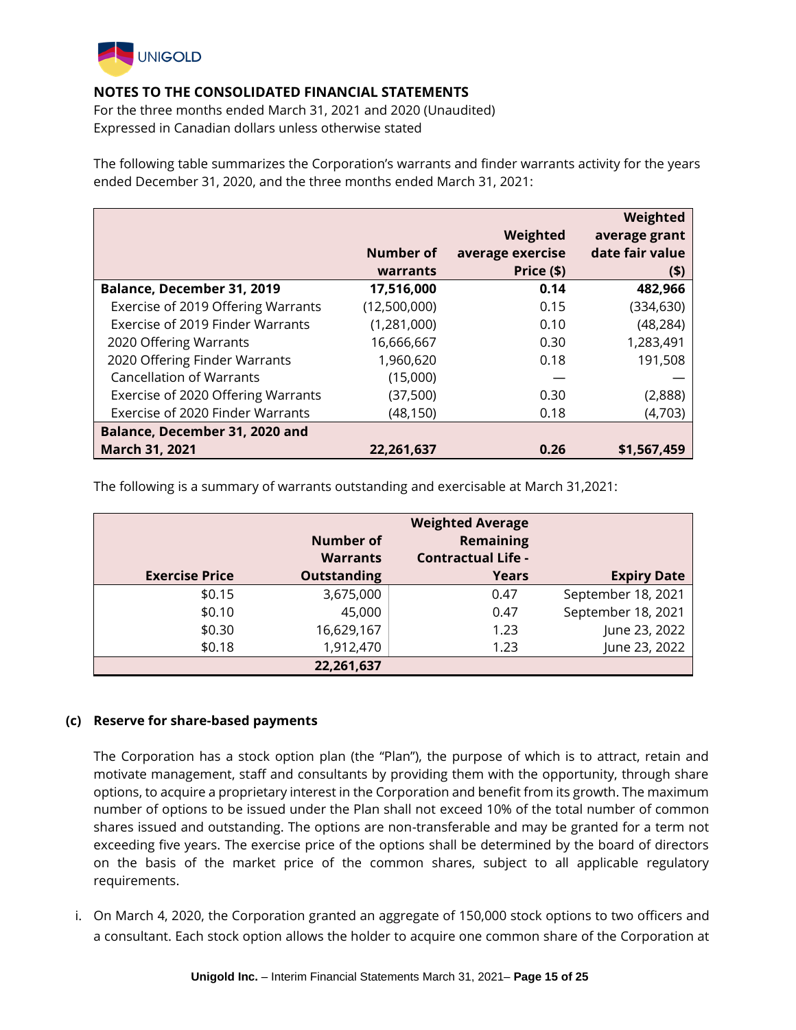

For the three months ended March 31, 2021 and 2020 (Unaudited) Expressed in Canadian dollars unless otherwise stated

The following table summarizes the Corporation's warrants and finder warrants activity for the years ended December 31, 2020, and the three months ended March 31, 2021:

|                                    |              |                  | Weighted        |
|------------------------------------|--------------|------------------|-----------------|
|                                    |              | Weighted         | average grant   |
|                                    | Number of    | average exercise | date fair value |
|                                    | warrants     | Price (\$)       | $($ \$)         |
| <b>Balance, December 31, 2019</b>  | 17,516,000   | 0.14             | 482,966         |
| Exercise of 2019 Offering Warrants | (12,500,000) | 0.15             | (334, 630)      |
| Exercise of 2019 Finder Warrants   | (1,281,000)  | 0.10             | (48, 284)       |
| 2020 Offering Warrants             | 16,666,667   | 0.30             | 1,283,491       |
| 2020 Offering Finder Warrants      | 1,960,620    | 0.18             | 191,508         |
| <b>Cancellation of Warrants</b>    | (15,000)     |                  |                 |
| Exercise of 2020 Offering Warrants | (37,500)     | 0.30             | (2,888)         |
| Exercise of 2020 Finder Warrants   | (48, 150)    | 0.18             | (4,703)         |
| Balance, December 31, 2020 and     |              |                  |                 |
| March 31, 2021                     | 22,261,637   | 0.26             | \$1,567,459     |

The following is a summary of warrants outstanding and exercisable at March 31,2021:

|                       | Number of<br><b>Warrants</b> | <b>Weighted Average</b><br>Remaining<br><b>Contractual Life -</b> |                    |
|-----------------------|------------------------------|-------------------------------------------------------------------|--------------------|
| <b>Exercise Price</b> | <b>Outstanding</b>           | <b>Years</b>                                                      | <b>Expiry Date</b> |
| \$0.15                | 3,675,000                    | 0.47                                                              | September 18, 2021 |
| \$0.10                | 45,000                       | 0.47                                                              | September 18, 2021 |
| \$0.30                | 16,629,167                   | 1.23                                                              | June 23, 2022      |
| \$0.18                | 1,912,470                    | 1.23                                                              | June 23, 2022      |
|                       | 22,261,637                   |                                                                   |                    |

### **(c) Reserve for share-based payments**

The Corporation has a stock option plan (the "Plan"), the purpose of which is to attract, retain and motivate management, staff and consultants by providing them with the opportunity, through share options, to acquire a proprietary interest in the Corporation and benefit from its growth. The maximum number of options to be issued under the Plan shall not exceed 10% of the total number of common shares issued and outstanding. The options are non-transferable and may be granted for a term not exceeding five years. The exercise price of the options shall be determined by the board of directors on the basis of the market price of the common shares, subject to all applicable regulatory requirements.

i. On March 4, 2020, the Corporation granted an aggregate of 150,000 stock options to two officers and a consultant. Each stock option allows the holder to acquire one common share of the Corporation at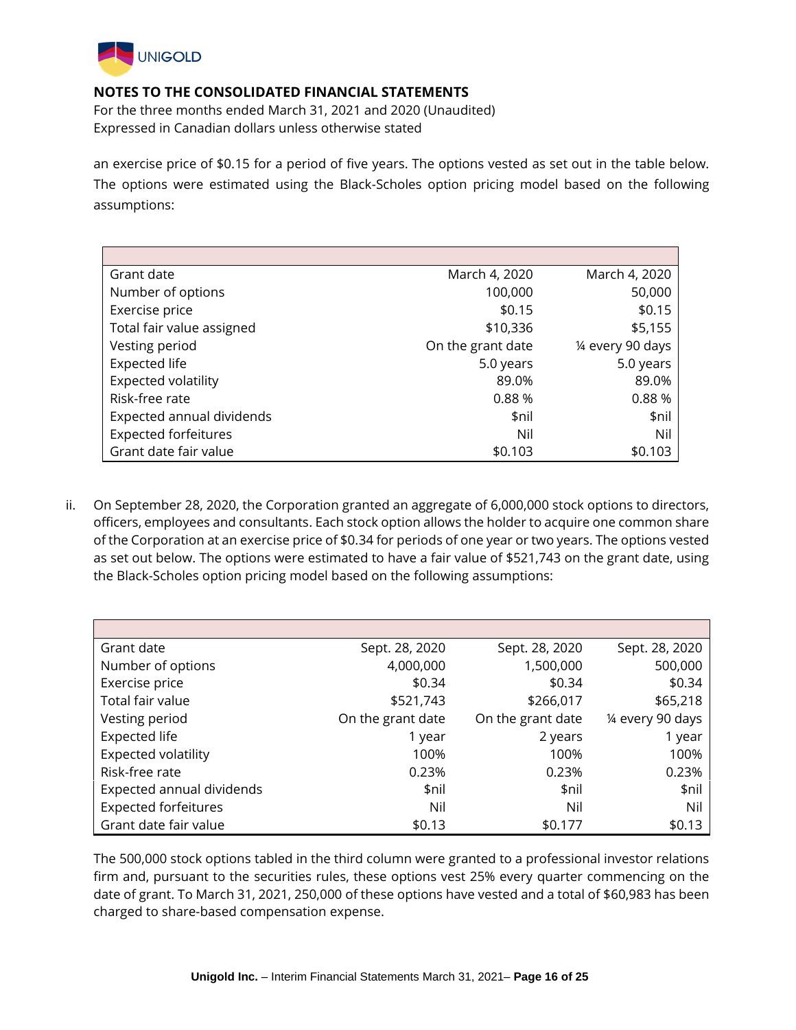

For the three months ended March 31, 2021 and 2020 (Unaudited) Expressed in Canadian dollars unless otherwise stated

an exercise price of \$0.15 for a period of five years. The options vested as set out in the table below. The options were estimated using the Black-Scholes option pricing model based on the following assumptions:

| Grant date                  | March 4, 2020     | March 4, 2020     |
|-----------------------------|-------------------|-------------------|
| Number of options           | 100,000           | 50,000            |
| Exercise price              | \$0.15            | \$0.15            |
| Total fair value assigned   | \$10,336          | \$5,155           |
| Vesting period              | On the grant date | 1/4 every 90 days |
| <b>Expected life</b>        | 5.0 years         | 5.0 years         |
| Expected volatility         | 89.0%             | 89.0%             |
| Risk-free rate              | 0.88%             | 0.88%             |
| Expected annual dividends   | \$nil             | \$nil             |
| <b>Expected forfeitures</b> | Nil               | Nil               |
| Grant date fair value       | \$0.103           | \$0.103           |

ii. On September 28, 2020, the Corporation granted an aggregate of 6,000,000 stock options to directors, officers, employees and consultants. Each stock option allows the holder to acquire one common share of the Corporation at an exercise price of \$0.34 for periods of one year or two years. The options vested as set out below. The options were estimated to have a fair value of \$521,743 on the grant date, using the Black-Scholes option pricing model based on the following assumptions:

| Grant date                  | Sept. 28, 2020    | Sept. 28, 2020    | Sept. 28, 2020    |
|-----------------------------|-------------------|-------------------|-------------------|
| Number of options           | 4,000,000         | 1,500,000         | 500,000           |
| Exercise price              | \$0.34            | \$0.34            | \$0.34            |
| Total fair value            | \$521,743         | \$266,017         | \$65,218          |
| Vesting period              | On the grant date | On the grant date | 1/4 every 90 days |
| <b>Expected life</b>        | 1 year            | 2 years           | 1 year            |
| <b>Expected volatility</b>  | 100%              | 100%              | 100%              |
| Risk-free rate              | 0.23%             | 0.23%             | 0.23%             |
| Expected annual dividends   | \$nil             | \$nil             | \$nil             |
| <b>Expected forfeitures</b> | Nil               | Nil               | Nil               |
| Grant date fair value       | \$0.13            | \$0.177           | \$0.13            |

The 500,000 stock options tabled in the third column were granted to a professional investor relations firm and, pursuant to the securities rules, these options vest 25% every quarter commencing on the date of grant. To March 31, 2021, 250,000 of these options have vested and a total of \$60,983 has been charged to share-based compensation expense.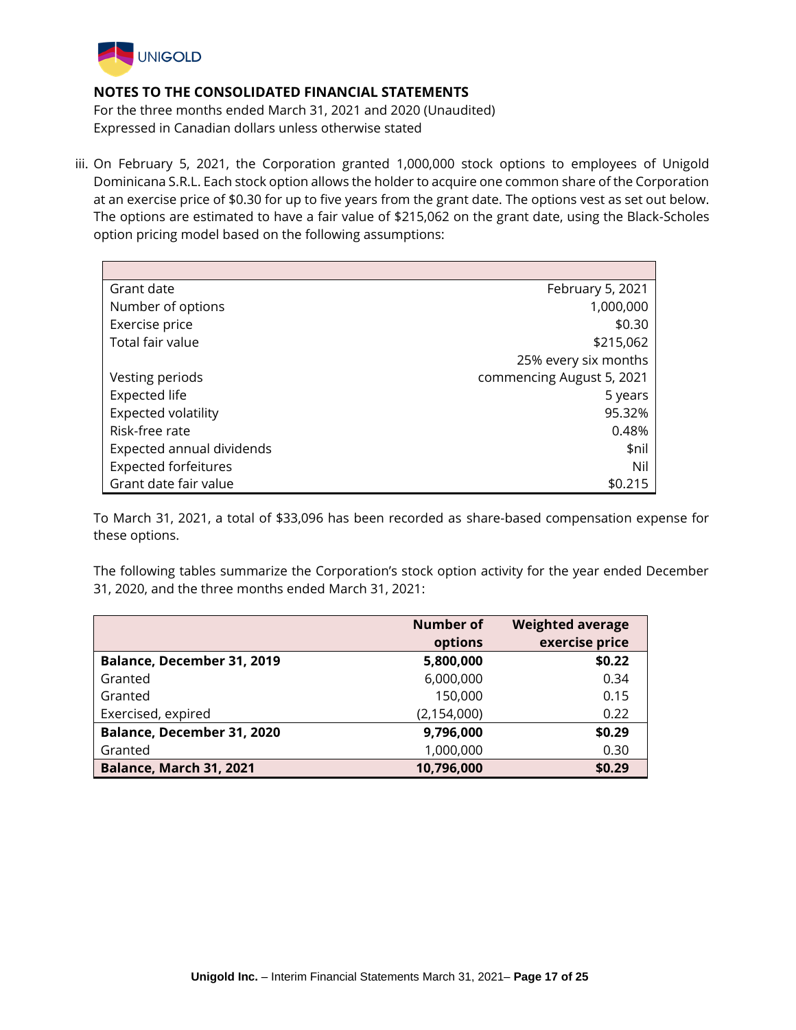

For the three months ended March 31, 2021 and 2020 (Unaudited) Expressed in Canadian dollars unless otherwise stated

iii. On February 5, 2021, the Corporation granted 1,000,000 stock options to employees of Unigold Dominicana S.R.L. Each stock option allows the holder to acquire one common share of the Corporation at an exercise price of \$0.30 for up to five years from the grant date. The options vest as set out below. The options are estimated to have a fair value of \$215,062 on the grant date, using the Black-Scholes option pricing model based on the following assumptions:

| Grant date                  | February 5, 2021          |
|-----------------------------|---------------------------|
| Number of options           | 1,000,000                 |
| Exercise price              | \$0.30                    |
| Total fair value            | \$215,062                 |
|                             | 25% every six months      |
| Vesting periods             | commencing August 5, 2021 |
| <b>Expected life</b>        | 5 years                   |
| Expected volatility         | 95.32%                    |
| Risk-free rate              | 0.48%                     |
| Expected annual dividends   | \$nil                     |
| <b>Expected forfeitures</b> | Nil                       |
| Grant date fair value       | \$0.215                   |

To March 31, 2021, a total of \$33,096 has been recorded as share-based compensation expense for these options.

The following tables summarize the Corporation's stock option activity for the year ended December 31, 2020, and the three months ended March 31, 2021:

|                            | Number of     | <b>Weighted average</b> |
|----------------------------|---------------|-------------------------|
|                            | options       | exercise price          |
| Balance, December 31, 2019 | 5,800,000     | \$0.22                  |
| Granted                    | 6,000,000     | 0.34                    |
| Granted                    | 150,000       | 0.15                    |
| Exercised, expired         | (2, 154, 000) | 0.22                    |
| Balance, December 31, 2020 | 9,796,000     | \$0.29                  |
| Granted                    | 1,000,000     | 0.30                    |
| Balance, March 31, 2021    | 10,796,000    | \$0.29                  |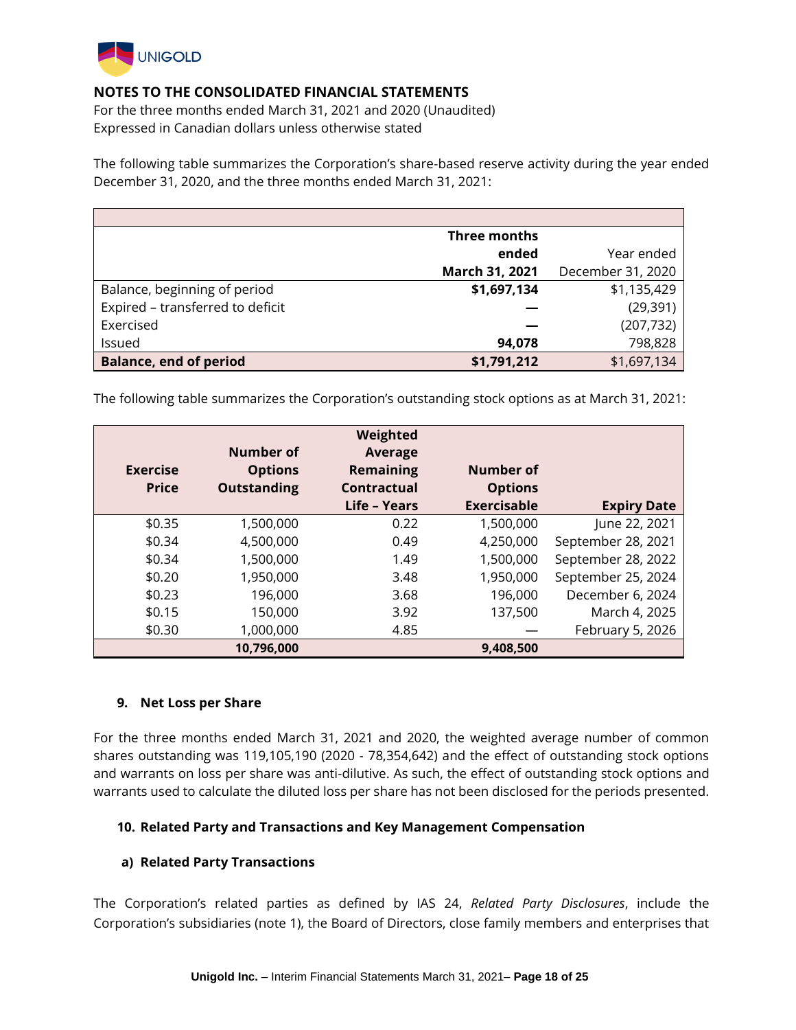

For the three months ended March 31, 2021 and 2020 (Unaudited) Expressed in Canadian dollars unless otherwise stated

The following table summarizes the Corporation's share-based reserve activity during the year ended December 31, 2020, and the three months ended March 31, 2021:

|                                  | <b>Three months</b> |                   |
|----------------------------------|---------------------|-------------------|
|                                  | ended               | Year ended        |
|                                  | March 31, 2021      | December 31, 2020 |
| Balance, beginning of period     | \$1,697,134         | \$1,135,429       |
| Expired - transferred to deficit |                     | (29, 391)         |
| Exercised                        |                     | (207, 732)        |
| Issued                           | 94,078              | 798,828           |
| <b>Balance, end of period</b>    | \$1,791,212         | \$1,697,134       |

The following table summarizes the Corporation's outstanding stock options as at March 31, 2021:

| <b>Exercise</b><br><b>Price</b> | Number of<br><b>Options</b><br><b>Outstanding</b> | Weighted<br><b>Average</b><br><b>Remaining</b><br>Contractual<br>Life - Years | Number of<br><b>Options</b><br><b>Exercisable</b> | <b>Expiry Date</b> |
|---------------------------------|---------------------------------------------------|-------------------------------------------------------------------------------|---------------------------------------------------|--------------------|
| \$0.35                          | 1,500,000                                         | 0.22                                                                          | 1,500,000                                         | June 22, 2021      |
| \$0.34                          | 4,500,000                                         | 0.49                                                                          | 4,250,000                                         | September 28, 2021 |
| \$0.34                          | 1,500,000                                         | 1.49                                                                          | 1,500,000                                         | September 28, 2022 |
| \$0.20                          | 1,950,000                                         | 3.48                                                                          | 1,950,000                                         | September 25, 2024 |
| \$0.23                          | 196,000                                           | 3.68                                                                          | 196,000                                           | December 6, 2024   |
| \$0.15                          | 150,000                                           | 3.92                                                                          | 137,500                                           | March 4, 2025      |
| \$0.30                          | 1,000,000                                         | 4.85                                                                          |                                                   | February 5, 2026   |
|                                 | 10,796,000                                        |                                                                               | 9,408,500                                         |                    |

### **9. Net Loss per Share**

For the three months ended March 31, 2021 and 2020, the weighted average number of common shares outstanding was 119,105,190 (2020 - 78,354,642) and the effect of outstanding stock options and warrants on loss per share was anti-dilutive. As such, the effect of outstanding stock options and warrants used to calculate the diluted loss per share has not been disclosed for the periods presented.

### **10. Related Party and Transactions and Key Management Compensation**

### **a) Related Party Transactions**

The Corporation's related parties as defined by IAS 24, *Related Party Disclosures*, include the Corporation's subsidiaries (note 1), the Board of Directors, close family members and enterprises that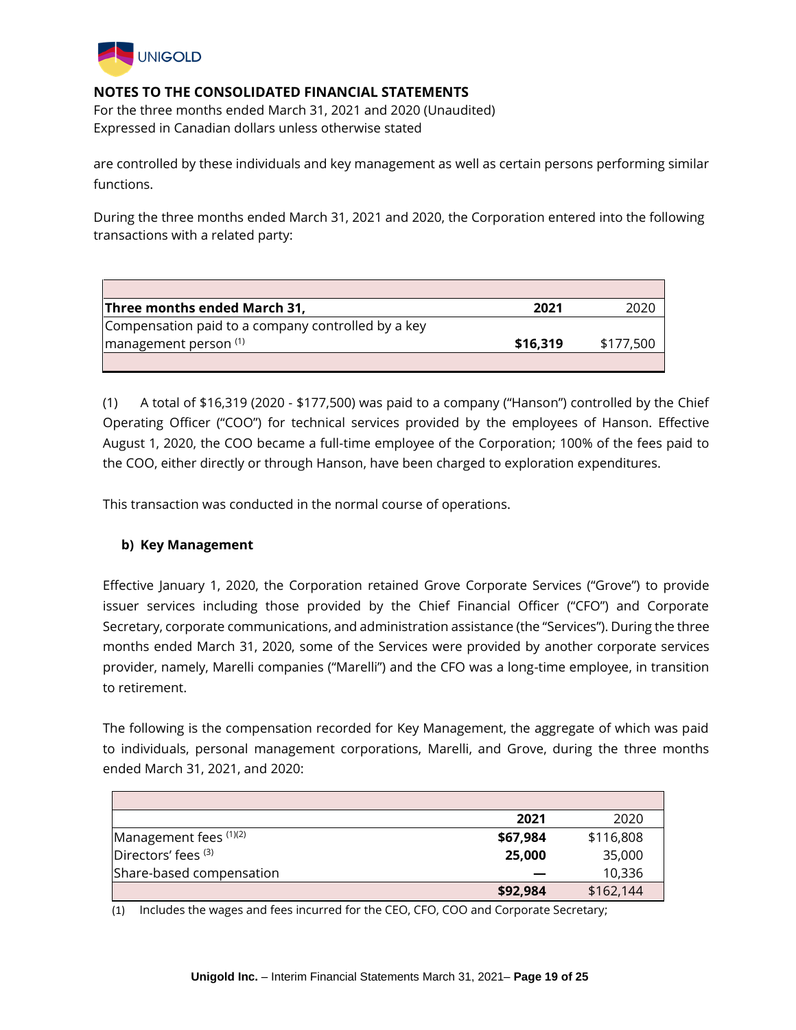

For the three months ended March 31, 2021 and 2020 (Unaudited) Expressed in Canadian dollars unless otherwise stated

are controlled by these individuals and key management as well as certain persons performing similar functions.

During the three months ended March 31, 2021 and 2020, the Corporation entered into the following transactions with a related party:

| Three months ended March 31,                       | 2021     |           |
|----------------------------------------------------|----------|-----------|
| Compensation paid to a company controlled by a key |          |           |
| $\frac{1}{2}$ management person $(1)$              | \$16.319 | \$177,500 |
|                                                    |          |           |

(1) A total of \$16,319 (2020 - \$177,500) was paid to a company ("Hanson") controlled by the Chief Operating Officer ("COO") for technical services provided by the employees of Hanson. Effective August 1, 2020, the COO became a full-time employee of the Corporation; 100% of the fees paid to the COO, either directly or through Hanson, have been charged to exploration expenditures.

This transaction was conducted in the normal course of operations.

## **b) Key Management**

Effective January 1, 2020, the Corporation retained Grove Corporate Services ("Grove") to provide issuer services including those provided by the Chief Financial Officer ("CFO") and Corporate Secretary, corporate communications, and administration assistance (the "Services"). During the three months ended March 31, 2020, some of the Services were provided by another corporate services provider, namely, Marelli companies ("Marelli") and the CFO was a long-time employee, in transition to retirement.

The following is the compensation recorded for Key Management, the aggregate of which was paid to individuals, personal management corporations, Marelli, and Grove, during the three months ended March 31, 2021, and 2020:

|                          | 2021     | 2020      |
|--------------------------|----------|-----------|
| Management fees (1)(2)   | \$67,984 | \$116,808 |
| Directors' fees (3)      | 25,000   | 35,000    |
| Share-based compensation |          | 10,336    |
|                          | \$92,984 | \$162,144 |

(1) Includes the wages and fees incurred for the CEO, CFO, COO and Corporate Secretary;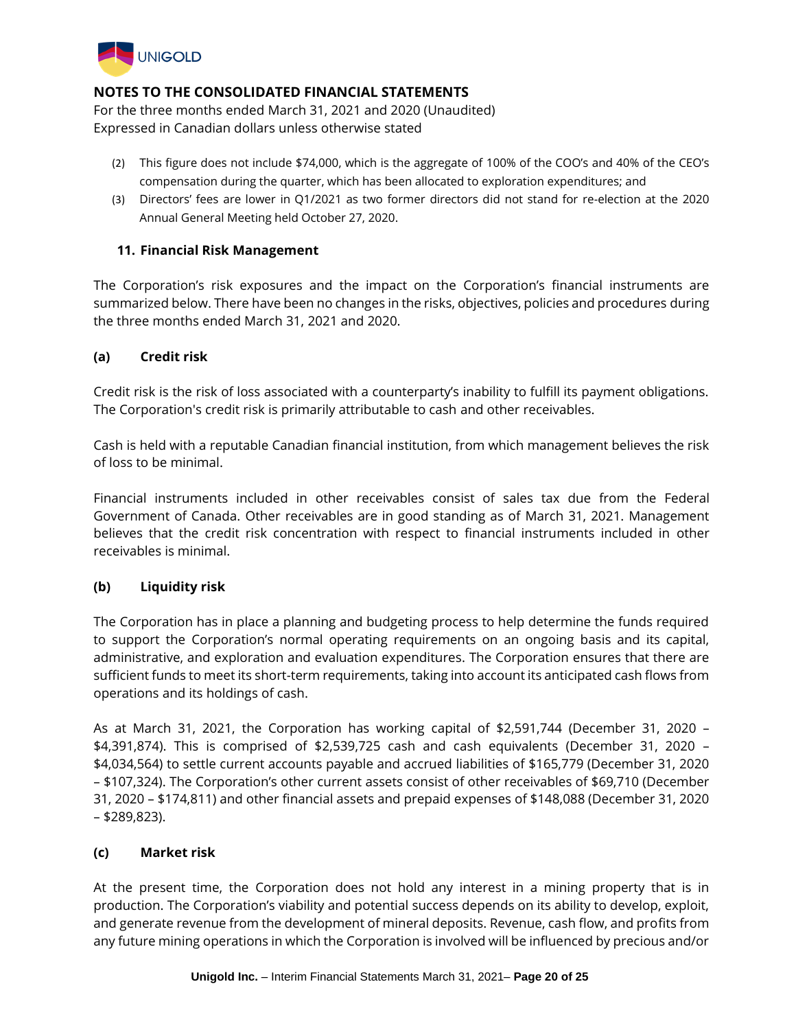

For the three months ended March 31, 2021 and 2020 (Unaudited) Expressed in Canadian dollars unless otherwise stated

- (2) This figure does not include \$74,000, which is the aggregate of 100% of the COO's and 40% of the CEO's compensation during the quarter, which has been allocated to exploration expenditures; and
- (3) Directors' fees are lower in Q1/2021 as two former directors did not stand for re-election at the 2020 Annual General Meeting held October 27, 2020.

### **11. Financial Risk Management**

The Corporation's risk exposures and the impact on the Corporation's financial instruments are summarized below. There have been no changes in the risks, objectives, policies and procedures during the three months ended March 31, 2021 and 2020.

### **(a) Credit risk**

Credit risk is the risk of loss associated with a counterparty's inability to fulfill its payment obligations. The Corporation's credit risk is primarily attributable to cash and other receivables.

Cash is held with a reputable Canadian financial institution, from which management believes the risk of loss to be minimal.

Financial instruments included in other receivables consist of sales tax due from the Federal Government of Canada. Other receivables are in good standing as of March 31, 2021. Management believes that the credit risk concentration with respect to financial instruments included in other receivables is minimal.

## **(b) Liquidity risk**

The Corporation has in place a planning and budgeting process to help determine the funds required to support the Corporation's normal operating requirements on an ongoing basis and its capital, administrative, and exploration and evaluation expenditures. The Corporation ensures that there are sufficient funds to meet its short-term requirements, taking into account its anticipated cash flows from operations and its holdings of cash.

As at March 31, 2021, the Corporation has working capital of \$2,591,744 (December 31, 2020 – \$4,391,874). This is comprised of \$2,539,725 cash and cash equivalents (December 31, 2020 – \$4,034,564) to settle current accounts payable and accrued liabilities of \$165,779 (December 31, 2020 – \$107,324). The Corporation's other current assets consist of other receivables of \$69,710 (December 31, 2020 – \$174,811) and other financial assets and prepaid expenses of \$148,088 (December 31, 2020 – \$289,823).

### **(c) Market risk**

At the present time, the Corporation does not hold any interest in a mining property that is in production. The Corporation's viability and potential success depends on its ability to develop, exploit, and generate revenue from the development of mineral deposits. Revenue, cash flow, and profits from any future mining operations in which the Corporation is involved will be influenced by precious and/or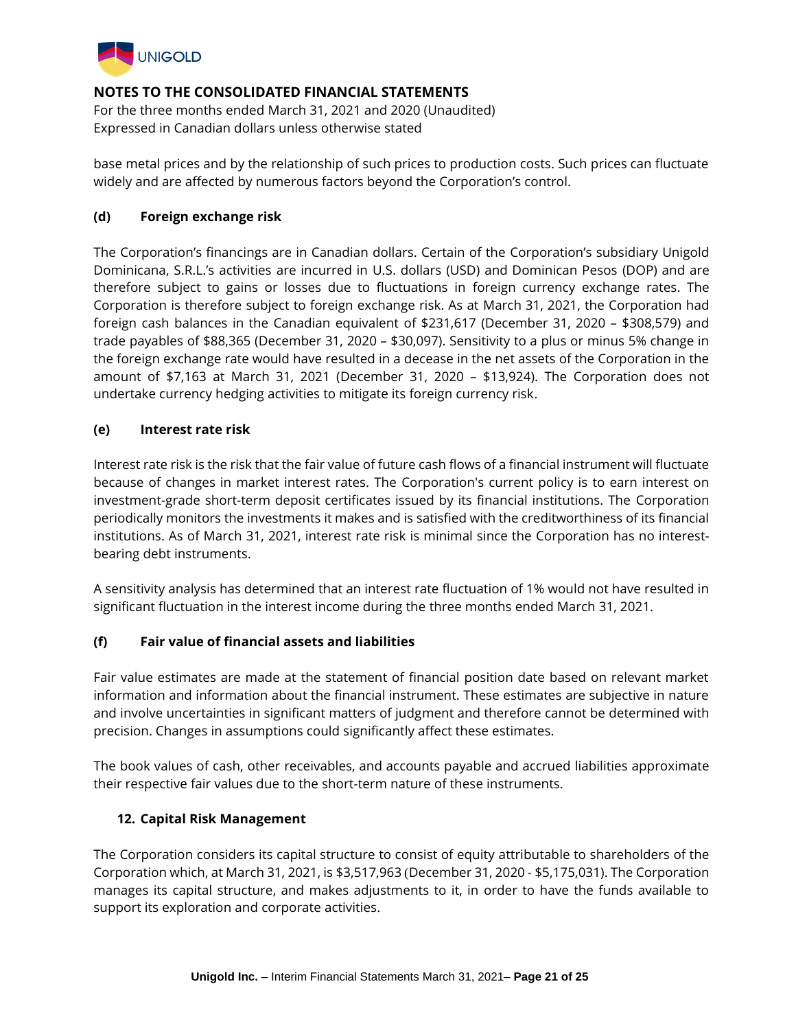

For the three months ended March 31, 2021 and 2020 (Unaudited) Expressed in Canadian dollars unless otherwise stated

base metal prices and by the relationship of such prices to production costs. Such prices can fluctuate widely and are affected by numerous factors beyond the Corporation's control.

### **(d) Foreign exchange risk**

The Corporation's financings are in Canadian dollars. Certain of the Corporation's subsidiary Unigold Dominicana, S.R.L.'s activities are incurred in U.S. dollars (USD) and Dominican Pesos (DOP) and are therefore subject to gains or losses due to fluctuations in foreign currency exchange rates. The Corporation is therefore subject to foreign exchange risk. As at March 31, 2021, the Corporation had foreign cash balances in the Canadian equivalent of \$231,617 (December 31, 2020 – \$308,579) and trade payables of \$88,365 (December 31, 2020 – \$30,097). Sensitivity to a plus or minus 5% change in the foreign exchange rate would have resulted in a decease in the net assets of the Corporation in the amount of \$7,163 at March 31, 2021 (December 31, 2020 – \$13,924). The Corporation does not undertake currency hedging activities to mitigate its foreign currency risk.

### **(e) Interest rate risk**

Interest rate risk is the risk that the fair value of future cash flows of a financial instrument will fluctuate because of changes in market interest rates. The Corporation's current policy is to earn interest on investment-grade short-term deposit certificates issued by its financial institutions. The Corporation periodically monitors the investments it makes and is satisfied with the creditworthiness of its financial institutions. As of March 31, 2021, interest rate risk is minimal since the Corporation has no interestbearing debt instruments.

A sensitivity analysis has determined that an interest rate fluctuation of 1% would not have resulted in significant fluctuation in the interest income during the three months ended March 31, 2021.

### **(f) Fair value of financial assets and liabilities**

Fair value estimates are made at the statement of financial position date based on relevant market information and information about the financial instrument. These estimates are subjective in nature and involve uncertainties in significant matters of judgment and therefore cannot be determined with precision. Changes in assumptions could significantly affect these estimates.

The book values of cash, other receivables, and accounts payable and accrued liabilities approximate their respective fair values due to the short-term nature of these instruments.

### **12. Capital Risk Management**

The Corporation considers its capital structure to consist of equity attributable to shareholders of the Corporation which, at March 31, 2021, is \$3,517,963 (December 31, 2020 - \$5,175,031). The Corporation manages its capital structure, and makes adjustments to it, in order to have the funds available to support its exploration and corporate activities.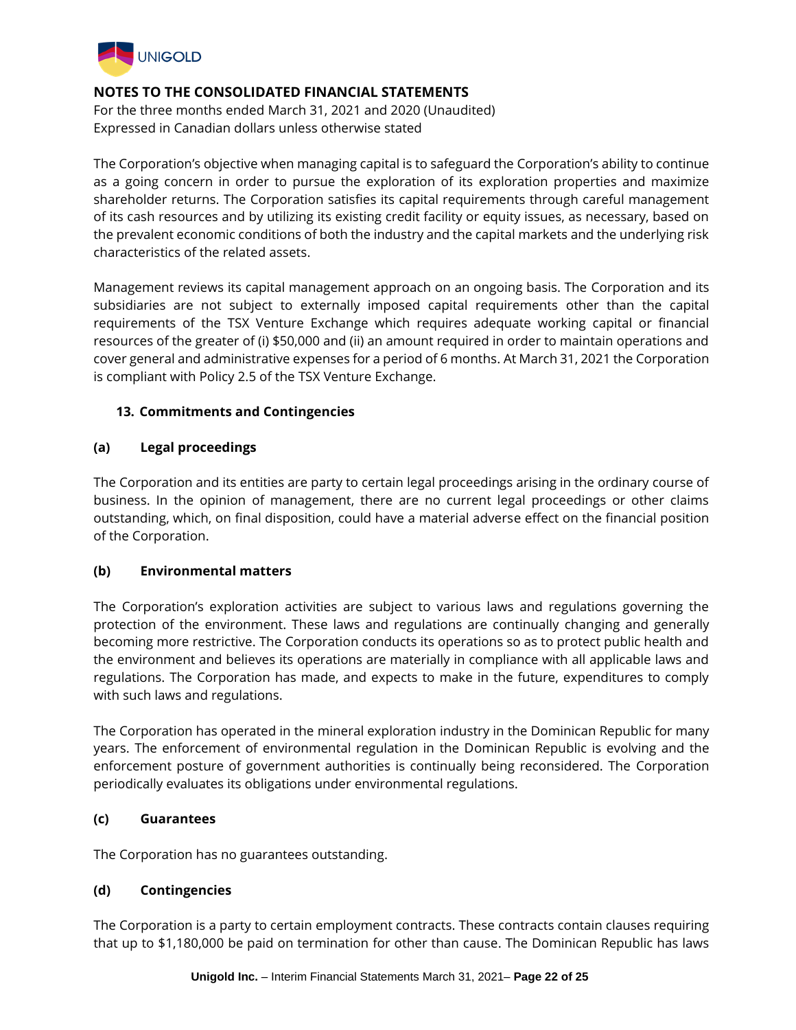

For the three months ended March 31, 2021 and 2020 (Unaudited) Expressed in Canadian dollars unless otherwise stated

The Corporation's objective when managing capital is to safeguard the Corporation's ability to continue as a going concern in order to pursue the exploration of its exploration properties and maximize shareholder returns. The Corporation satisfies its capital requirements through careful management of its cash resources and by utilizing its existing credit facility or equity issues, as necessary, based on the prevalent economic conditions of both the industry and the capital markets and the underlying risk characteristics of the related assets.

Management reviews its capital management approach on an ongoing basis. The Corporation and its subsidiaries are not subject to externally imposed capital requirements other than the capital requirements of the TSX Venture Exchange which requires adequate working capital or financial resources of the greater of (i) \$50,000 and (ii) an amount required in order to maintain operations and cover general and administrative expenses for a period of 6 months. At March 31, 2021 the Corporation is compliant with Policy 2.5 of the TSX Venture Exchange.

## **13. Commitments and Contingencies**

### **(a) Legal proceedings**

The Corporation and its entities are party to certain legal proceedings arising in the ordinary course of business. In the opinion of management, there are no current legal proceedings or other claims outstanding, which, on final disposition, could have a material adverse effect on the financial position of the Corporation.

### **(b) Environmental matters**

The Corporation's exploration activities are subject to various laws and regulations governing the protection of the environment. These laws and regulations are continually changing and generally becoming more restrictive. The Corporation conducts its operations so as to protect public health and the environment and believes its operations are materially in compliance with all applicable laws and regulations. The Corporation has made, and expects to make in the future, expenditures to comply with such laws and regulations.

The Corporation has operated in the mineral exploration industry in the Dominican Republic for many years. The enforcement of environmental regulation in the Dominican Republic is evolving and the enforcement posture of government authorities is continually being reconsidered. The Corporation periodically evaluates its obligations under environmental regulations.

### **(c) Guarantees**

The Corporation has no guarantees outstanding.

## **(d) Contingencies**

The Corporation is a party to certain employment contracts. These contracts contain clauses requiring that up to \$1,180,000 be paid on termination for other than cause. The Dominican Republic has laws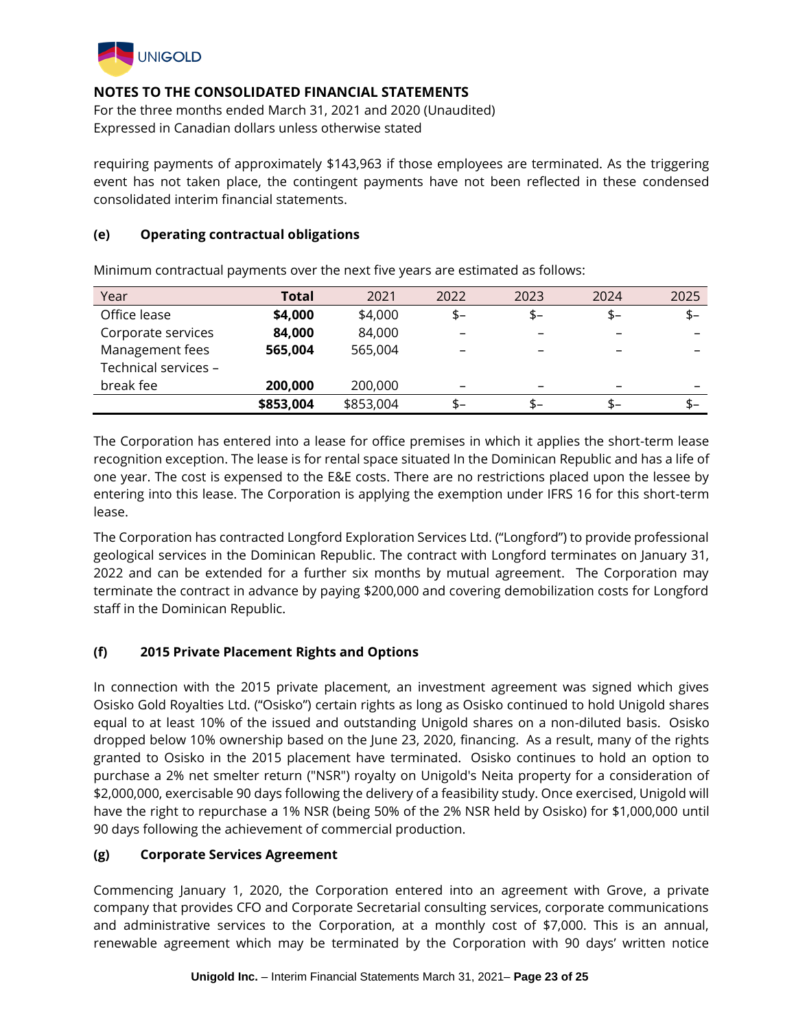

For the three months ended March 31, 2021 and 2020 (Unaudited) Expressed in Canadian dollars unless otherwise stated

requiring payments of approximately \$143,963 if those employees are terminated. As the triggering event has not taken place, the contingent payments have not been reflected in these condensed consolidated interim financial statements.

### **(e) Operating contractual obligations**

| Year                 | Total     | 2021      | 2022 | 2023                     | 2024 | 2025 |
|----------------------|-----------|-----------|------|--------------------------|------|------|
| Office lease         | \$4,000   | \$4,000   | $$-$ | \$-                      | \$-  | $$-$ |
| Corporate services   | 84,000    | 84,000    |      | -                        |      | -    |
| Management fees      | 565,004   | 565,004   |      | $\overline{\phantom{0}}$ |      |      |
| Technical services - |           |           |      |                          |      |      |
| break fee            | 200,000   | 200,000   |      | $\overline{\phantom{0}}$ |      |      |
|                      | \$853,004 | \$853,004 | \$–  | \$–                      | S-   | \$–  |

Minimum contractual payments over the next five years are estimated as follows:

The Corporation has entered into a lease for office premises in which it applies the short-term lease recognition exception. The lease is for rental space situated In the Dominican Republic and has a life of one year. The cost is expensed to the E&E costs. There are no restrictions placed upon the lessee by entering into this lease. The Corporation is applying the exemption under IFRS 16 for this short-term lease.

The Corporation has contracted Longford Exploration Services Ltd. ("Longford") to provide professional geological services in the Dominican Republic. The contract with Longford terminates on January 31, 2022 and can be extended for a further six months by mutual agreement. The Corporation may terminate the contract in advance by paying \$200,000 and covering demobilization costs for Longford staff in the Dominican Republic.

## **(f) 2015 Private Placement Rights and Options**

In connection with the 2015 private placement, an investment agreement was signed which gives Osisko Gold Royalties Ltd. ("Osisko") certain rights as long as Osisko continued to hold Unigold shares equal to at least 10% of the issued and outstanding Unigold shares on a non-diluted basis. Osisko dropped below 10% ownership based on the June 23, 2020, financing. As a result, many of the rights granted to Osisko in the 2015 placement have terminated. Osisko continues to hold an option to purchase a 2% net smelter return ("NSR") royalty on Unigold's Neita property for a consideration of \$2,000,000, exercisable 90 days following the delivery of a feasibility study. Once exercised, Unigold will have the right to repurchase a 1% NSR (being 50% of the 2% NSR held by Osisko) for \$1,000,000 until 90 days following the achievement of commercial production.

## **(g) Corporate Services Agreement**

Commencing January 1, 2020, the Corporation entered into an agreement with Grove, a private company that provides CFO and Corporate Secretarial consulting services, corporate communications and administrative services to the Corporation, at a monthly cost of \$7,000. This is an annual, renewable agreement which may be terminated by the Corporation with 90 days' written notice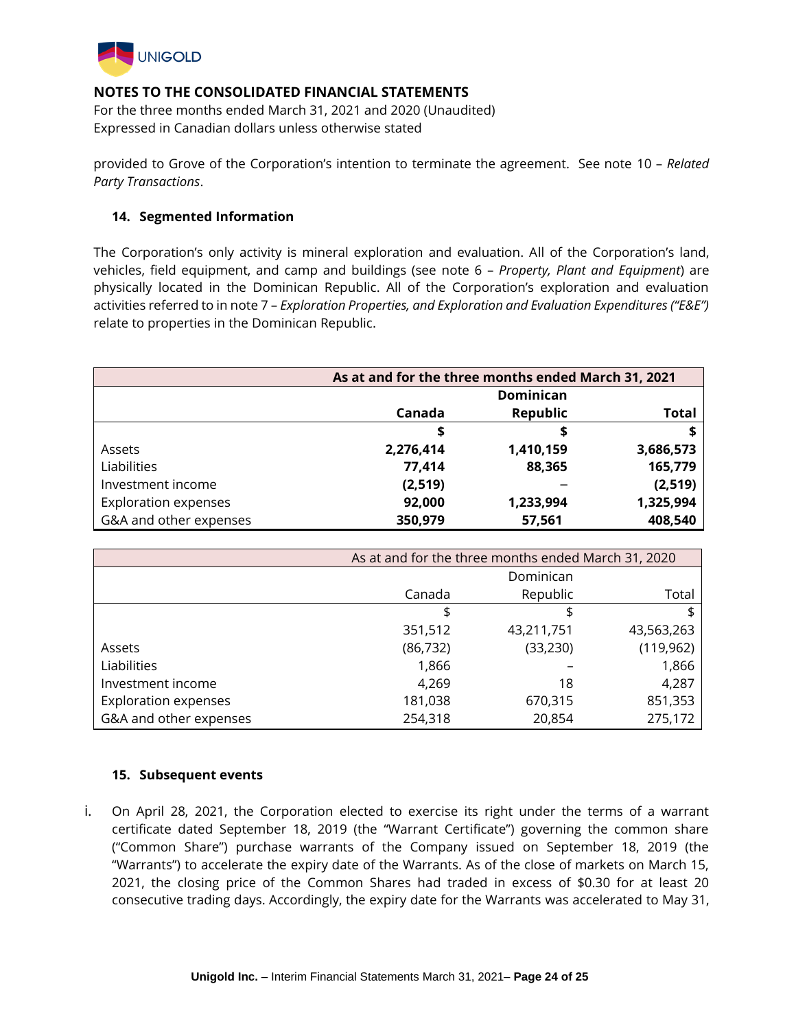

For the three months ended March 31, 2021 and 2020 (Unaudited) Expressed in Canadian dollars unless otherwise stated

provided to Grove of the Corporation's intention to terminate the agreement. See note 10 – *Related Party Transactions*.

### **14. Segmented Information**

The Corporation's only activity is mineral exploration and evaluation. All of the Corporation's land, vehicles, field equipment, and camp and buildings (see note 6 – *Property, Plant and Equipment*) are physically located in the Dominican Republic. All of the Corporation's exploration and evaluation activities referred to in note 7 – *Exploration Properties, and Exploration and Evaluation Expenditures ("E&E")* relate to properties in the Dominican Republic.

|                             | As at and for the three months ended March 31, 2021 |                 |              |
|-----------------------------|-----------------------------------------------------|-----------------|--------------|
|                             | <b>Dominican</b>                                    |                 |              |
|                             | Canada                                              | <b>Republic</b> | <b>Total</b> |
|                             | \$                                                  | ⋑               |              |
| Assets                      | 2,276,414                                           | 1,410,159       | 3,686,573    |
| Liabilities                 | 77,414                                              | 88,365          | 165,779      |
| Investment income           | (2, 519)                                            |                 | (2, 519)     |
| <b>Exploration expenses</b> | 92,000                                              | 1,233,994       | 1,325,994    |
| G&A and other expenses      | 350,979                                             | 57,561          | 408,540      |

|                             | As at and for the three months ended March 31, 2020 |            |            |
|-----------------------------|-----------------------------------------------------|------------|------------|
|                             |                                                     | Dominican  |            |
|                             | Canada                                              | Republic   | Total      |
|                             | \$                                                  |            |            |
|                             | 351,512                                             | 43,211,751 | 43,563,263 |
| Assets                      | (86, 732)                                           | (33, 230)  | (119, 962) |
| Liabilities                 | 1,866                                               |            | 1,866      |
| Investment income           | 4,269                                               | 18         | 4,287      |
| <b>Exploration expenses</b> | 181,038                                             | 670,315    | 851,353    |
| G&A and other expenses      | 254,318                                             | 20,854     | 275,172    |

### **15. Subsequent events**

i. On April 28, 2021, the Corporation elected to exercise its right under the terms of a warrant certificate dated September 18, 2019 (the "Warrant Certificate") governing the common share ("Common Share") purchase warrants of the Company issued on September 18, 2019 (the "Warrants") to accelerate the expiry date of the Warrants. As of the close of markets on March 15, 2021, the closing price of the Common Shares had traded in excess of \$0.30 for at least 20 consecutive trading days. Accordingly, the expiry date for the Warrants was accelerated to May 31,